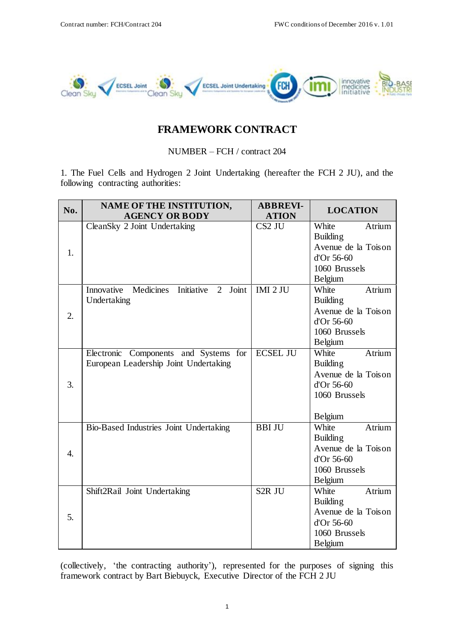

# **FRAMEWORK CONTRACT**

NUMBER – FCH / contract 204

1. The Fuel Cells and Hydrogen 2 Joint Undertaking (hereafter the FCH 2 JU), and the following contracting authorities:

| No.      | <b>NAME OF THE INSTITUTION,</b><br><b>AGENCY OR BODY</b> | <b>ABBREVI-</b><br><b>ATION</b> | <b>LOCATION</b>             |
|----------|----------------------------------------------------------|---------------------------------|-----------------------------|
| 1.       | CleanSky 2 Joint Undertaking                             | CS <sub>2</sub> JU              | White<br>Atrium             |
|          |                                                          |                                 | <b>Building</b>             |
|          |                                                          |                                 | Avenue de la Toison         |
|          |                                                          |                                 | d'Or 56-60                  |
|          |                                                          |                                 | 1060 Brussels               |
|          |                                                          |                                 | <b>Belgium</b>              |
| 2.       | Innovative Medicines<br>Joint<br>Initiative 2            | <b>IMI 2 JU</b>                 | White<br>Atrium             |
|          | Undertaking                                              |                                 | <b>Building</b>             |
|          |                                                          |                                 | Avenue de la Toison         |
|          |                                                          |                                 | d'Or 56-60                  |
|          |                                                          |                                 | 1060 Brussels               |
|          | Electronic Components and Systems for                    | <b>ECSEL JU</b>                 | Belgium<br>White<br>Atrium  |
|          | European Leadership Joint Undertaking                    |                                 | <b>Building</b>             |
|          |                                                          |                                 | Avenue de la Toison         |
| 3.       |                                                          |                                 | d'Or 56-60                  |
|          |                                                          |                                 | 1060 Brussels               |
|          |                                                          |                                 |                             |
|          |                                                          |                                 | Belgium                     |
| 4.<br>5. | Bio-Based Industries Joint Undertaking                   | <b>BBI JU</b>                   | Atrium<br>White             |
|          |                                                          |                                 | <b>Building</b>             |
|          |                                                          |                                 | Avenue de la Toison         |
|          |                                                          |                                 | d'Or 56-60                  |
|          |                                                          |                                 | 1060 Brussels               |
|          |                                                          |                                 | <b>Belgium</b>              |
|          | Shift2Rail Joint Undertaking                             | S <sub>2</sub> R JU             | Atrium<br>White             |
|          |                                                          |                                 | <b>Building</b>             |
|          |                                                          |                                 | Avenue de la Toison         |
|          |                                                          |                                 | d'Or 56-60<br>1060 Brussels |
|          |                                                          |                                 |                             |
|          |                                                          |                                 | Belgium                     |

(collectively, 'the contracting authority'), represented for the purposes of signing this framework contract by Bart Biebuyck, Executive Director of the FCH 2 JU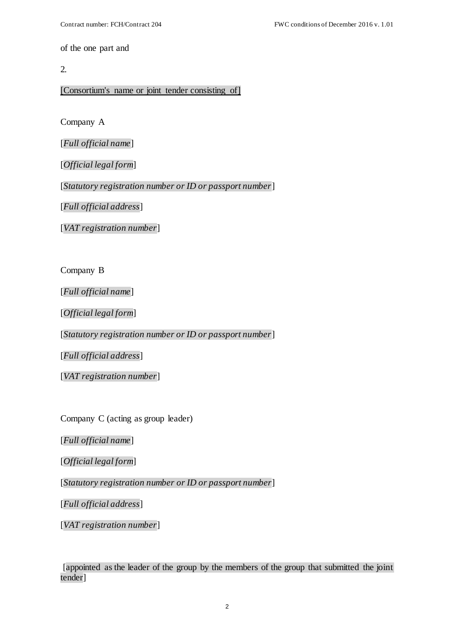of the one part and

2*.* 

[Consortium's name or joint tender consisting of]

Company A

[*Full official name*]

[*Official legal form*]

[*Statutory registration number or ID or passport number*]

[*Full official address*]

[*VAT registration number*]

Company B

[*Full official name*]

[*Official legal form*]

[*Statutory registration number or ID or passport number*]

[*Full official address*]

[*VAT registration number*]

Company C (acting as group leader)

[*Full official name*]

[*Official legal form*]

[*Statutory registration number or ID or passport number*]

[*Full official address*]

[*VAT registration number*]

[appointed as the leader of the group by the members of the group that submitted the joint tender]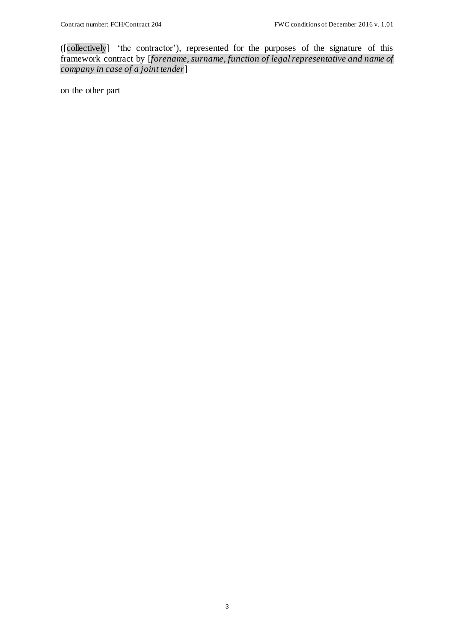([collectively] 'the contractor'), represented for the purposes of the signature of this framework contract by [*forename, surname, function of legal representative and name of company in case of a joint tender*]

on the other part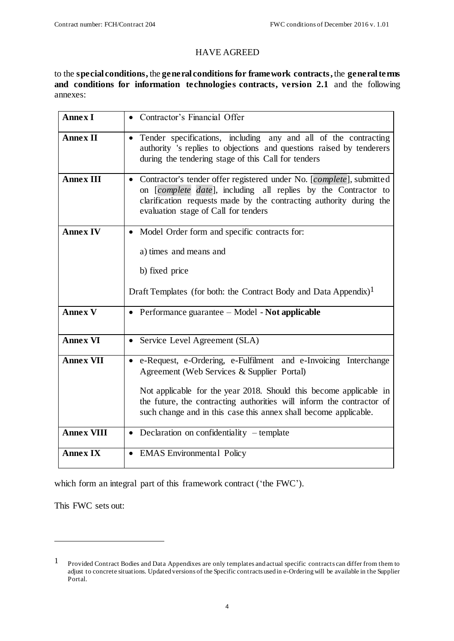#### HAVE AGREED

to the **special conditions,** the **general conditions for framework contracts,** the **general terms and conditions for information technologies contracts, version 2.1** and the following annexes:

| <b>Annex I</b>    | • Contractor's Financial Offer                                                                                                                                                                                                                          |  |  |
|-------------------|---------------------------------------------------------------------------------------------------------------------------------------------------------------------------------------------------------------------------------------------------------|--|--|
| <b>Annex II</b>   | • Tender specifications, including any and all of the contracting<br>authority 's replies to objections and questions raised by tenderers<br>during the tendering stage of this Call for tenders                                                        |  |  |
| <b>Annex III</b>  | • Contractor's tender offer registered under No. [complete], submitted<br>on [complete date], including all replies by the Contractor to<br>clarification requests made by the contracting authority during the<br>evaluation stage of Call for tenders |  |  |
| <b>Annex IV</b>   | • Model Order form and specific contracts for:                                                                                                                                                                                                          |  |  |
|                   | a) times and means and                                                                                                                                                                                                                                  |  |  |
|                   | b) fixed price                                                                                                                                                                                                                                          |  |  |
|                   | Draft Templates (for both: the Contract Body and Data Appendix) <sup>1</sup>                                                                                                                                                                            |  |  |
| <b>Annex V</b>    | • Performance guarantee $-$ Model $-$ Not applicable                                                                                                                                                                                                    |  |  |
| <b>Annex VI</b>   | Service Level Agreement (SLA)<br>$\bullet$                                                                                                                                                                                                              |  |  |
| <b>Annex VII</b>  | • e-Request, e-Ordering, e-Fulfilment and e-Invoicing Interchange<br>Agreement (Web Services & Supplier Portal)                                                                                                                                         |  |  |
|                   | Not applicable for the year 2018. Should this become applicable in<br>the future, the contracting authorities will inform the contractor of<br>such change and in this case this annex shall become applicable.                                         |  |  |
| <b>Annex VIII</b> | • Declaration on confidentiality $-$ template                                                                                                                                                                                                           |  |  |
| <b>Annex IX</b>   | • EMAS Environmental Policy                                                                                                                                                                                                                             |  |  |

which form an integral part of this framework contract ('the FWC').

This FWC sets out:

1

<sup>1</sup> Provided Contract Bodies and Data Appendixes are only templates and actual specific contracts can differ from them to adjust to concrete situations. Updated versions of the Specific contracts used in e-Ordering will be available in the Supplier Portal.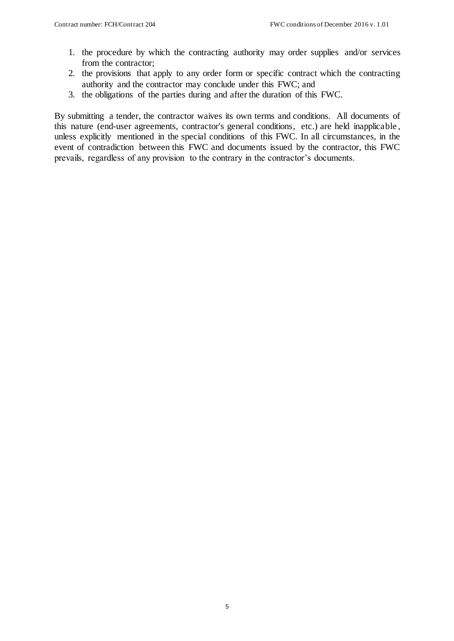- 1. the procedure by which the contracting authority may order supplies and/or services from the contractor;
- 2. the provisions that apply to any order form or specific contract which the contracting authority and the contractor may conclude under this FWC; and
- 3. the obligations of the parties during and after the duration of this FWC.

By submitting a tender, the contractor waives its own terms and conditions. All documents of this nature (end-user agreements, contractor's general conditions, etc.) are held inapplicable , unless explicitly mentioned in the special conditions of this FWC. In all circumstances, in the event of contradiction between this FWC and documents issued by the contractor, this FWC prevails, regardless of any provision to the contrary in the contractor's documents.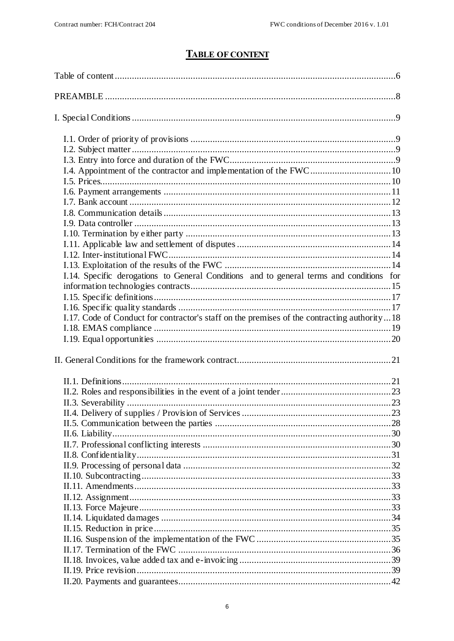# **TABLE OF CONTENT**

<span id="page-5-0"></span>

| I.4. Appointment of the contractor and implementation of the FWC10                          |  |
|---------------------------------------------------------------------------------------------|--|
|                                                                                             |  |
|                                                                                             |  |
|                                                                                             |  |
|                                                                                             |  |
|                                                                                             |  |
|                                                                                             |  |
|                                                                                             |  |
|                                                                                             |  |
|                                                                                             |  |
| I.14. Specific derogations to General Conditions and to general terms and conditions for    |  |
|                                                                                             |  |
|                                                                                             |  |
| I.17. Code of Conduct for contractor's staff on the premises of the contracting authority18 |  |
|                                                                                             |  |
|                                                                                             |  |
|                                                                                             |  |
|                                                                                             |  |
|                                                                                             |  |
|                                                                                             |  |
|                                                                                             |  |
|                                                                                             |  |
|                                                                                             |  |
|                                                                                             |  |
|                                                                                             |  |
|                                                                                             |  |
|                                                                                             |  |
|                                                                                             |  |
|                                                                                             |  |
|                                                                                             |  |
|                                                                                             |  |
|                                                                                             |  |
|                                                                                             |  |
|                                                                                             |  |
|                                                                                             |  |
|                                                                                             |  |
|                                                                                             |  |
|                                                                                             |  |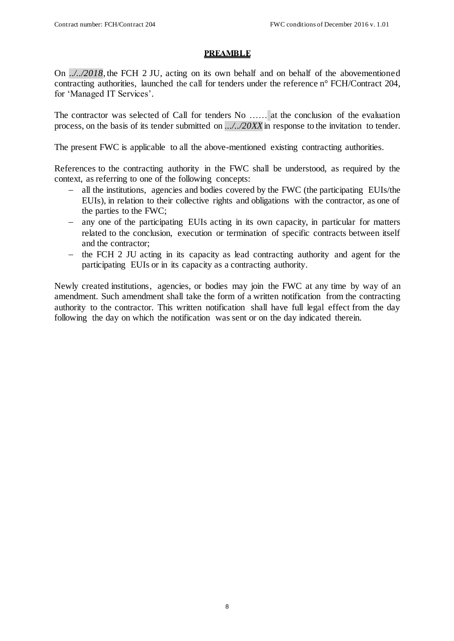#### **PREAMBLE**

<span id="page-7-0"></span>On .*./../2018*, the FCH 2 JU, acting on its own behalf and on behalf of the abovementioned contracting authorities, launched the call for tenders under the reference n° FCH/Contract 204, for 'Managed IT Services'.

The contractor was selected of Call for tenders No ...... at the conclusion of the evaluation process, on the basis of its tender submitted on *.../../20XX*in response to the invitation to tender.

The present FWC is applicable to all the above-mentioned existing contracting authorities.

References to the contracting authority in the FWC shall be understood, as required by the context, as referring to one of the following concepts:

- all the institutions, agencies and bodies covered by the FWC (the participating EUIs/the EUIs), in relation to their collective rights and obligations with the contractor, as one of the parties to the FWC;
- any one of the participating EUIs acting in its own capacity, in particular for matters related to the conclusion, execution or termination of specific contracts between itself and the contractor;
- $-$  the FCH 2 JU acting in its capacity as lead contracting authority and agent for the participating EUIs or in its capacity as a contracting authority.

Newly created institutions, agencies, or bodies may join the FWC at any time by way of an amendment. Such amendment shall take the form of a written notification from the contracting authority to the contractor. This written notification shall have full legal effect from the day following the day on which the notification was sent or on the day indicated therein.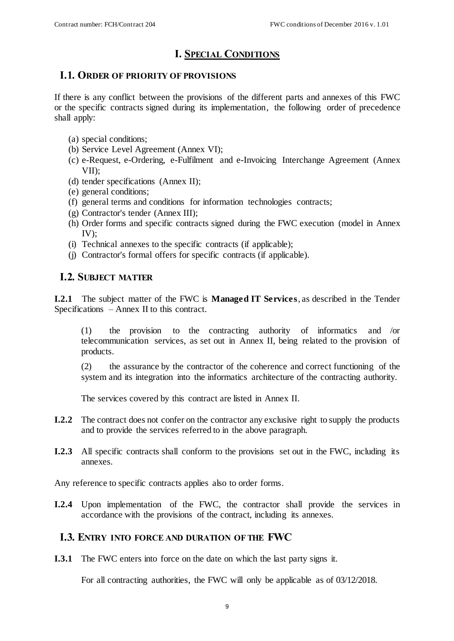# **I. SPECIAL CONDITIONS**

## <span id="page-8-1"></span><span id="page-8-0"></span>**I.1. ORDER OF PRIORITY OF PROVISIONS**

If there is any conflict between the provisions of the different parts and annexes of this FWC or the specific contracts signed during its implementation, the following order of precedence shall apply:

- (a) special conditions;
- (b) Service Level Agreement (Annex VI);
- (c) e-Request, e-Ordering, e-Fulfilment and e-Invoicing Interchange Agreement (Annex VII);
- (d) tender specifications (Annex II);
- (e) general conditions;
- (f) general terms and conditions for information technologies contracts;
- (g) Contractor's tender (Annex III);
- (h) Order forms and specific contracts signed during the FWC execution (model in Annex IV);
- (i) Technical annexes to the specific contracts (if applicable);
- (j) Contractor's formal offers for specific contracts (if applicable).

# <span id="page-8-2"></span>**I.2. SUBJECT MATTER**

**I.2.1** The subject matter of the FWC is **Managed IT Services**, as described in the Tender Specifications – Annex II to this contract.

(1) the provision to the contracting authority of informatics and /or telecommunication services, as set out in Annex II, being related to the provision of products.

(2) the assurance by the contractor of the coherence and correct functioning of the system and its integration into the informatics architecture of the contracting authority.

The services covered by this contract are listed in Annex II.

- **I.2.2** The contract does not confer on the contractor any exclusive right to supply the products and to provide the services referred to in the above paragraph.
- **I.2.3** All specific contracts shall conform to the provisions set out in the FWC, including its annexes.

Any reference to specific contracts applies also to order forms.

**I.2.4** Upon implementation of the FWC, the contractor shall provide the services in accordance with the provisions of the contract, including its annexes.

## <span id="page-8-3"></span>**I.3. ENTRY INTO FORCE AND DURATION OF THE FWC**

**I.3.1** The FWC enters into force on the date on which the last party signs it.

For all contracting authorities, the FWC will only be applicable as of 03/12/2018.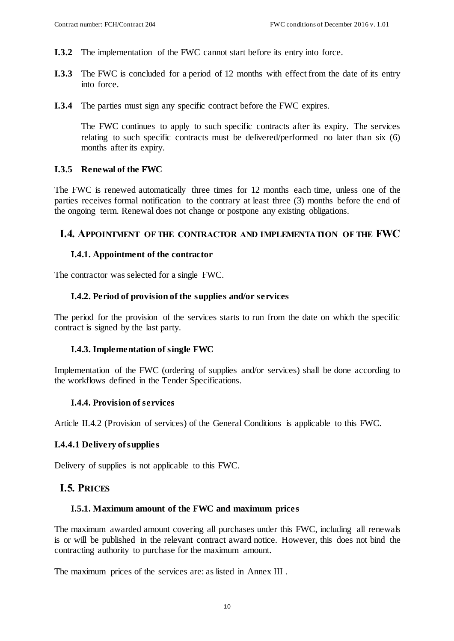- **I.3.2** The implementation of the FWC cannot start before its entry into force.
- **I.3.3** The FWC is concluded for a period of 12 months with effect from the date of its entry into force.
- **I.3.4** The parties must sign any specific contract before the FWC expires.

The FWC continues to apply to such specific contracts after its expiry. The services relating to such specific contracts must be delivered/performed no later than six (6) months after its expiry.

## **I.3.5 Renewal of the FWC**

The FWC is renewed automatically three times for 12 months each time, unless one of the parties receives formal notification to the contrary at least three (3) months before the end of the ongoing term. Renewal does not change or postpone any existing obligations.

## <span id="page-9-0"></span>**I.4. APPOINTMENT OF THE CONTRACTOR AND IMPLEMENTATION OF THE FWC**

### **I.4.1. Appointment of the contractor**

The contractor was selected for a single FWC.

### **I.4.2. Period of provision of the supplies and/or services**

The period for the provision of the services starts to run from the date on which the specific contract is signed by the last party.

### **I.4.3. Implementation of single FWC**

Implementation of the FWC (ordering of supplies and/or services) shall be done according to the workflows defined in the Tender Specifications.

### **I.4.4. Provision of services**

Article [II.4.2](#page-26-0) (Provision of services) of the General Conditions is applicable to this FWC.

### **I.4.4.1 Delivery of supplies**

Delivery of supplies is not applicable to this FWC.

# <span id="page-9-1"></span>**I.5. PRICES**

### **I.5.1. Maximum amount of the FWC and maximum prices**

The maximum awarded amount covering all purchases under this FWC, including all renewals is or will be published in the relevant contract award notice. However, this does not bind the contracting authority to purchase for the maximum amount.

The maximum prices of the services are: as listed in Annex III .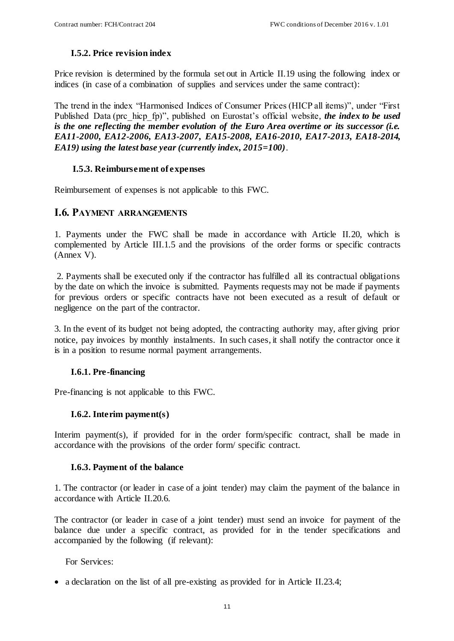# <span id="page-10-1"></span>**I.5.2. Price revision index**

Price revision is determined by the formula set out in Article [II.19](#page-38-1) using the following index or indices (in case of a combination of supplies and services under the same contract):

The trend in the index "Harmonised Indices of Consumer Prices (HICP all items)", under "First Published Data (prc\_hicp\_fp)", published on Eurostat's official website, *the index to be used is the one reflecting the member evolution of the Euro Area overtime or its successor (i.e. EA11-2000, EA12-2006, EA13-2007, EA15-2008, EA16-2010, EA17-2013, EA18-2014, EA19) using the latest base year (currently index, 2015=100)*.

## <span id="page-10-2"></span>**I.5.3. Reimbursement of expenses**

Reimbursement of expenses is not applicable to this FWC.

# <span id="page-10-0"></span>**I.6. PAYMENT ARRANGEMENTS**

1. Payments under the FWC shall be made in accordance with Article II.20, which is complemented by Article III.1.5 and the provisions of the order forms or specific contracts (Annex V).

2. Payments shall be executed only if the contractor has fulfilled all its contractual obligations by the date on which the invoice is submitted. Payments requests may not be made if payments for previous orders or specific contracts have not been executed as a result of default or negligence on the part of the contractor.

3. In the event of its budget not being adopted, the contracting authority may, after giving prior notice, pay invoices by monthly instalments. In such cases, it shall notify the contractor once it is in a position to resume normal payment arrangements.

### **I.6.1. Pre-financing**

Pre-financing is not applicable to this FWC.

## **I.6.2. Interim payment(s)**

Interim payment(s), if provided for in the order form/specific contract, shall be made in accordance with the provisions of the order form/ specific contract.

### **I.6.3. Payment of the balance**

1. The contractor (or leader in case of a joint tender) may claim the payment of the balance in accordance with Article [II.20.6.](#page-42-0)

The contractor (or leader in case of a joint tender) must send an invoice for payment of the balance due under a specific contract, as provided for in the tender specifications and accompanied by the following (if relevant):

For Services:

• a declaration on the list of all pre-existing as provided for in Article [II.23.4;](#page-47-0)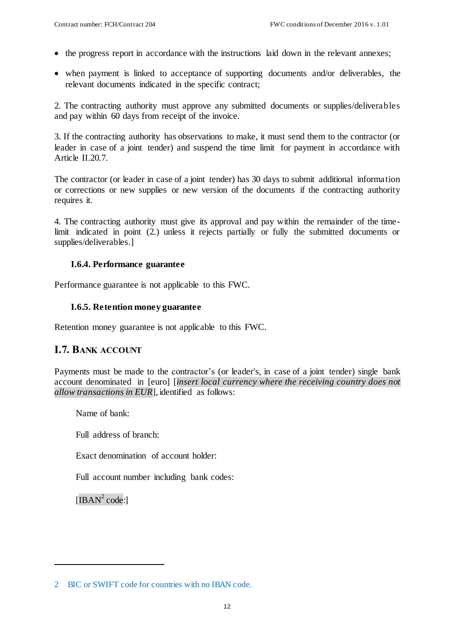- the progress report in accordance with the instructions laid down in the relevant annexes;
- when payment is linked to acceptance of supporting documents and/or deliverables, the relevant documents indicated in the specific contract;

2. The contracting authority must approve any submitted documents or supplies/deliverables and pay within 60 days from receipt of the invoice.

3. If the contracting authority has observations to make, it must send them to the contractor (or leader in case of a joint tender) and suspend the time limit for payment in accordance with Article [II.20.7.](#page-42-1)

The contractor (or leader in case of a joint tender) has 30 days to submit additional information or corrections or new supplies or new version of the documents if the contracting authority requires it.

4. The contracting authority must give its approval and pay within the remainder of the timelimit indicated in point (2.) unless it rejects partially or fully the submitted documents or supplies/deliverables.]

## **I.6.4. Performance guarantee**

Performance guarantee is not applicable to this FWC.

## **I.6.5. Retention money guarantee**

Retention money guarantee is not applicable to this FWC.

# <span id="page-11-0"></span>**I.7. BANK ACCOUNT**

Payments must be made to the contractor's (or leader's, in case of a joint tender) single bank account denominated in [euro] [*insert local currency where the receiving country does not allow transactions in EUR*], identified as follows:

Name of bank:

Full address of branch:

Exact denomination of account holder:

Full account number including bank codes:

[IBAN<sup>2</sup> code:]

1

<sup>2</sup> BIC or SWIFT code for countries with no IBAN code.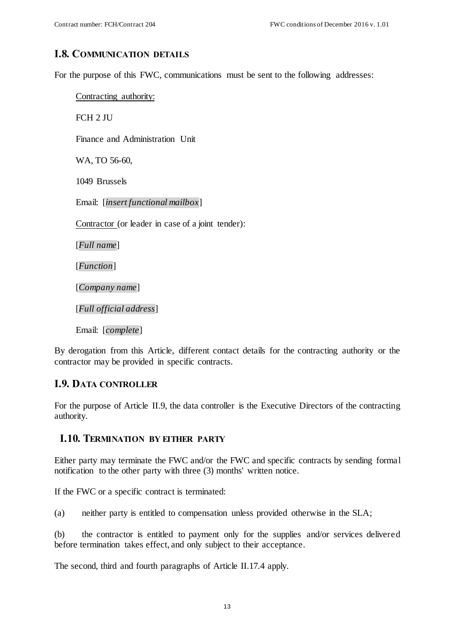# <span id="page-12-0"></span>**I.8. COMMUNICATION DETAILS**

For the purpose of this FWC, communications must be sent to the following addresses:

Contracting authority: FCH 2 JU Finance and Administration Unit WA, TO 56-60, 1049 Brussels Email: [*insert functional mailbox*] Contractor (or leader in case of a joint tender): [*Full name*] [*Function*] [*Company name*] [*Full official address*] Email: [*complete*]

By derogation from this Article, different contact details for the contracting authority or the contractor may be provided in specific contracts.

## <span id="page-12-1"></span>**I.9. DATA CONTROLLER**

For the purpose of Article [II.9,](#page-31-0) the data controller is the Executive Directors of the contracting authority.

# <span id="page-12-2"></span>**I.10. TERMINATION BY EITHER PARTY**

Either party may terminate the FWC and/or the FWC and specific contracts by sending formal notification to the other party with three (3) months' written notice.

If the FWC or a specific contract is terminated:

(a) neither party is entitled to compensation unless provided otherwise in the SLA;

(b) the contractor is entitled to payment only for the supplies and/or services delivered before termination takes effect, and only subject to their acceptance.

The second, third and fourth paragraphs of Article [II.17.4](#page-37-0) apply.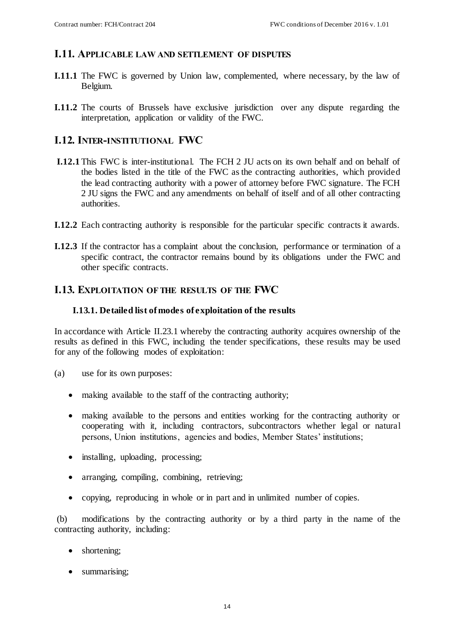## <span id="page-13-0"></span>**I.11. APPLICABLE LAW AND SETTLEMENT OF DISPUTES**

- **I.11.1** The FWC is governed by Union law, complemented, where necessary, by the law of Belgium*.*
- **I.11.2** The courts of Brussels have exclusive jurisdiction over any dispute regarding the interpretation, application or validity of the FWC.

# <span id="page-13-1"></span>**I.12. INTER-INSTITUTIONAL FWC**

- **I.12.1** This FWC is inter-institutional. The FCH 2 JU acts on its own behalf and on behalf of the bodies listed in the title of the FWC as the contracting authorities, which provided the lead contracting authority with a power of attorney before FWC signature. The FCH 2 JU signs the FWC and any amendments on behalf of itself and of all other contracting authorities.
- **I.12.2** Each contracting authority is responsible for the particular specific contracts it awards.
- **I.12.3** If the contractor has a complaint about the conclusion, performance or termination of a specific contract, the contractor remains bound by its obligations under the FWC and other specific contracts.

## <span id="page-13-3"></span><span id="page-13-2"></span>**I.13. EXPLOITATION OF THE RESULTS OF THE FWC**

### **I.13.1. Detailed list of modes of exploitation of the results**

In accordance with Article [II.23.1](#page-45-1) whereby the contracting authority acquires ownership of the results as defined in this FWC, including the tender specifications, these results may be used for any of the following modes of exploitation:

- (a) use for its own purposes:
	- making available to the staff of the contracting authority;
	- making available to the persons and entities working for the contracting authority or cooperating with it, including contractors, subcontractors whether legal or natural persons, Union institutions, agencies and bodies, Member States' institutions;
	- installing, uploading, processing;
	- arranging, compiling, combining, retrieving;
	- copying, reproducing in whole or in part and in unlimited number of copies.

(b) modifications by the contracting authority or by a third party in the name of the contracting authority, including:

- shortening;
- summarising;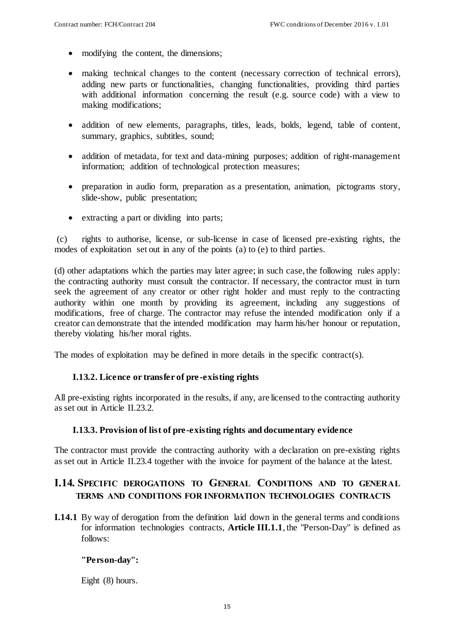- modifying the content, the dimensions;
- making technical changes to the content (necessary correction of technical errors), adding new parts or functionalities, changing functionalities, providing third parties with additional information concerning the result (e.g. source code) with a view to making modifications;
- addition of new elements, paragraphs, titles, leads, bolds, legend, table of content, summary, graphics, subtitles, sound;
- addition of metadata, for text and data-mining purposes; addition of right-management information; addition of technological protection measures;
- preparation in audio form, preparation as a presentation, animation, pictograms story, slide-show, public presentation;
- extracting a part or dividing into parts;

(c) rights to authorise, license, or sub-license in case of licensed pre-existing rights, the modes of exploitation set out in any of the points (a) to (e) to third parties.

(d) other adaptations which the parties may later agree; in such case, the following rules apply: the contracting authority must consult the contractor. If necessary, the contractor must in turn seek the agreement of any creator or other right holder and must reply to the contracting authority within one month by providing its agreement, including any suggestions of modifications, free of charge. The contractor may refuse the intended modification only if a creator can demonstrate that the intended modification may harm his/her honour or reputation, thereby violating his/her moral rights.

The modes of exploitation may be defined in more details in the specific contract(s).

### **I.13.2. Licence or transfer of pre -existing rights**

All pre-existing rights incorporated in the results, if any, are licensed to the contracting authority as set out in Article [II.23.2.](#page-45-2)

#### **I.13.3. Provision of list of pre-existing rights and documentary evidence**

The contractor must provide the contracting authority with a declaration on pre-existing rights as set out in Article [II.23.4](#page-47-0) together with the invoice for payment of the balance at the latest.

# <span id="page-14-0"></span>**I.14. SPECIFIC DEROGATIONS TO GENERAL CONDITIONS AND TO GENERAL TERMS AND CONDITIONS FOR INFORMATION TECHNOLOGIES CONTRACTS**

**I.14.1** By way of derogation from the definition laid down in the general terms and conditions for information technologies contracts, **Article III.1.1**, the "Person-Day" is defined as follows:

### **"Person-day":**

Eight (8) hours.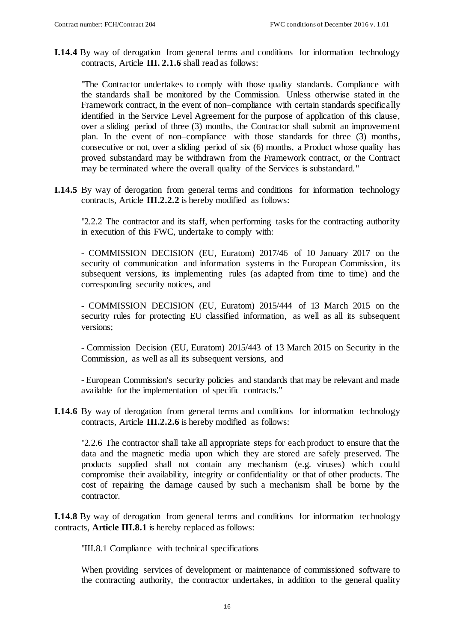**I.14.4** By way of derogation from general terms and conditions for information technology contracts, Article **III. 2.1.6** shall read as follows:

"The Contractor undertakes to comply with those quality standards. Compliance with the standards shall be monitored by the Commission. Unless otherwise stated in the Framework contract, in the event of non–compliance with certain standards specifically identified in the Service Level Agreement for the purpose of application of this clause, over a sliding period of three (3) months, the Contractor shall submit an improvement plan. In the event of non–compliance with those standards for three (3) months, consecutive or not, over a sliding period of six (6) months, a Product whose quality has proved substandard may be withdrawn from the Framework contract, or the Contract may be terminated where the overall quality of the Services is substandard."

**I.14.5** By way of derogation from general terms and conditions for information technology contracts, Article **III.2.2.2** is hereby modified as follows:

"2.2.2 The contractor and its staff, when performing tasks for the contracting authority in execution of this FWC, undertake to comply with:

- COMMISSION DECISION (EU, Euratom) 2017/46 of 10 January 2017 on the security of communication and information systems in the European Commission, its subsequent versions, its implementing rules (as adapted from time to time) and the corresponding security notices, and

- COMMISSION DECISION (EU, Euratom) 2015/444 of 13 March 2015 on the security rules for protecting EU classified information, as well as all its subsequent versions;

- Commission Decision (EU, Euratom) 2015/443 of 13 March 2015 on Security in the Commission, as well as all its subsequent versions, and

- European Commission's security policies and standards that may be relevant and made available for the implementation of specific contracts."

**I.14.6** By way of derogation from general terms and conditions for information technology contracts, Article **III.2.2.6** is hereby modified as follows:

"2.2.6 The contractor shall take all appropriate steps for each product to ensure that the data and the magnetic media upon which they are stored are safely preserved. The products supplied shall not contain any mechanism (e.g. viruses) which could compromise their availability, integrity or confidentiality or that of other products. The cost of repairing the damage caused by such a mechanism shall be borne by the contractor.

**I.14.8** By way of derogation from general terms and conditions for information technology contracts, **Article III.8.1** is hereby replaced as follows:

"III.8.1 Compliance with technical specifications

When providing services of development or maintenance of commissioned software to the contracting authority, the contractor undertakes, in addition to the general quality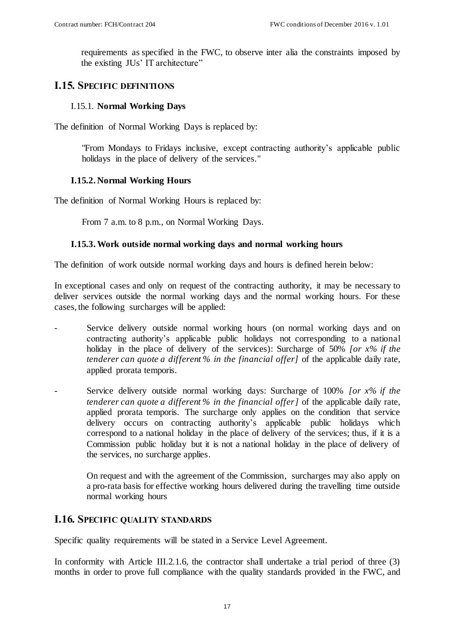requirements as specified in the FWC, to observe inter alia the constraints imposed by the existing JUs' IT architecture"

# <span id="page-16-0"></span>**I.15. SPECIFIC DEFINITIONS**

## I.15.1. **Normal Working Days**

The definition of Normal Working Days is replaced by:

"From Mondays to Fridays inclusive, except contracting authority's applicable public holidays in the place of delivery of the services."

## **I.15.2. Normal Working Hours**

The definition of Normal Working Hours is replaced by:

From 7 a.m. to 8 p.m., on Normal Working Days.

## **I.15.3.Work outside normal working days and normal working hours**

The definition of work outside normal working days and hours is defined herein below:

In exceptional cases and only on request of the contracting authority, it may be necessary to deliver services outside the normal working days and the normal working hours. For these cases, the following surcharges will be applied:

- Service delivery outside normal working hours (on normal working days and on contracting authority's applicable public holidays not corresponding to a national holiday in the place of delivery of the services): Surcharge of 50% *[or x% if the tenderer can quote a different % in the financial offer]* of the applicable daily rate, applied prorata temporis.
- Service delivery outside normal working days: Surcharge of 100% *[or x% if the tenderer can quote a different* % *in the financial offer l* of the applicable daily rate, applied prorata temporis. The surcharge only applies on the condition that service delivery occurs on contracting authority's applicable public holidays which correspond to a national holiday in the place of delivery of the services; thus, if it is a Commission public holiday but it is not a national holiday in the place of delivery of the services, no surcharge applies.

On request and with the agreement of the Commission, surcharges may also apply on a pro-rata basis for effective working hours delivered during the travelling time outside normal working hours

## <span id="page-16-1"></span>**I.16. SPECIFIC QUALITY STANDARDS**

Specific quality requirements will be stated in a Service Level Agreement.

In conformity with Article III.2.1.6, the contractor shall undertake a trial period of three (3) months in order to prove full compliance with the quality standards provided in the FWC, and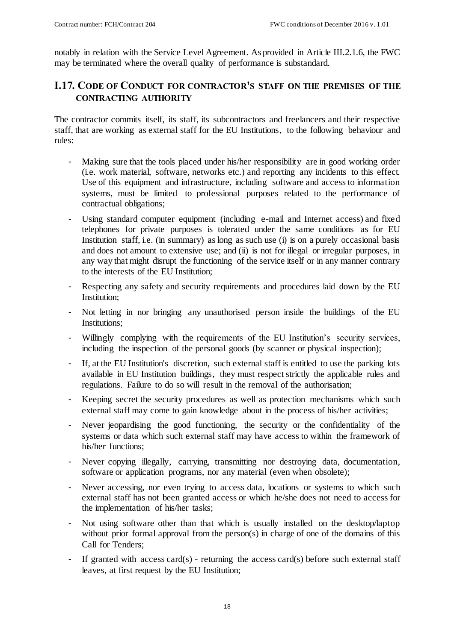notably in relation with the Service Level Agreement. As provided in Article III.2.1.6, the FWC may be terminated where the overall quality of performance is substandard.

# <span id="page-17-0"></span>**I.17. CODE OF CONDUCT FOR CONTRACTOR'S STAFF ON THE PREMISES OF THE CONTRACTING AUTHORITY**

The contractor commits itself, its staff, its subcontractors and freelancers and their respective staff, that are working as external staff for the EU Institutions, to the following behaviour and rules:

- Making sure that the tools placed under his/her responsibility are in good working order (i.e. work material, software, networks etc.) and reporting any incidents to this effect. Use of this equipment and infrastructure, including software and access to information systems, must be limited to professional purposes related to the performance of contractual obligations;
- Using standard computer equipment (including e-mail and Internet access) and fixed telephones for private purposes is tolerated under the same conditions as for EU Institution staff, i.e. (in summary) as long as such use (i) is on a purely occasional basis and does not amount to extensive use; and (ii) is not for illegal or irregular purposes, in any way that might disrupt the functioning of the service itself or in any manner contrary to the interests of the EU Institution;
- Respecting any safety and security requirements and procedures laid down by the EU Institution;
- Not letting in nor bringing any unauthorised person inside the buildings of the EU Institutions;
- Willingly complying with the requirements of the EU Institution's security services, including the inspection of the personal goods (by scanner or physical inspection);
- If, at the EU Institution's discretion, such external staff is entitled to use the parking lots available in EU Institution buildings, they must respect strictly the applicable rules and regulations. Failure to do so will result in the removal of the authorisation;
- Keeping secret the security procedures as well as protection mechanisms which such external staff may come to gain knowledge about in the process of his/her activities;
- Never jeopardising the good functioning, the security or the confidentiality of the systems or data which such external staff may have access to within the framework of his/her functions;
- Never copying illegally, carrying, transmitting nor destroying data, documentation, software or application programs, nor any material (even when obsolete);
- Never accessing, nor even trying to access data, locations or systems to which such external staff has not been granted access or which he/she does not need to access for the implementation of his/her tasks;
- Not using software other than that which is usually installed on the desktop/laptop without prior formal approval from the person(s) in charge of one of the domains of this Call for Tenders;
- If granted with access card(s) returning the access card(s) before such external staff leaves, at first request by the EU Institution;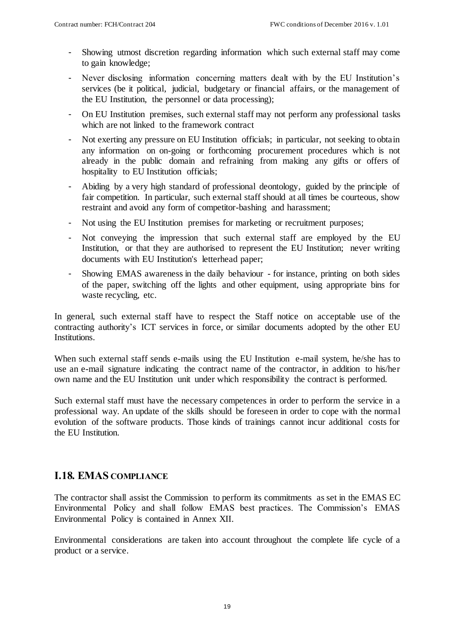- Showing utmost discretion regarding information which such external staff may come to gain knowledge;
- Never disclosing information concerning matters dealt with by the EU Institution's services (be it political, judicial, budgetary or financial affairs, or the management of the EU Institution, the personnel or data processing);
- On EU Institution premises, such external staff may not perform any professional tasks which are not linked to the framework contract
- Not exerting any pressure on EU Institution officials; in particular, not seeking to obtain any information on on-going or forthcoming procurement procedures which is not already in the public domain and refraining from making any gifts or offers of hospitality to EU Institution officials;
- Abiding by a very high standard of professional deontology, guided by the principle of fair competition. In particular, such external staff should at all times be courteous, show restraint and avoid any form of competitor-bashing and harassment;
- Not using the EU Institution premises for marketing or recruitment purposes;
- Not conveying the impression that such external staff are employed by the EU Institution, or that they are authorised to represent the EU Institution; never writing documents with EU Institution's letterhead paper;
- Showing EMAS awareness in the daily behaviour for instance, printing on both sides of the paper, switching off the lights and other equipment, using appropriate bins for waste recycling, etc.

In general, such external staff have to respect the Staff notice on acceptable use of the contracting authority's ICT services in force, or similar documents adopted by the other EU Institutions.

When such external staff sends e-mails using the EU Institution e-mail system, he/she has to use an e-mail signature indicating the contract name of the contractor, in addition to his/her own name and the EU Institution unit under which responsibility the contract is performed.

Such external staff must have the necessary competences in order to perform the service in a professional way. An update of the skills should be foreseen in order to cope with the normal evolution of the software products. Those kinds of trainings cannot incur additional costs for the EU Institution.

# <span id="page-18-0"></span>**I.18. EMAS COMPLIANCE**

The contractor shall assist the Commission to perform its commitments as set in the EMAS EC Environmental Policy and shall follow EMAS best practices. The Commission's EMAS Environmental Policy is contained in Annex XII.

Environmental considerations are taken into account throughout the complete life cycle of a product or a service.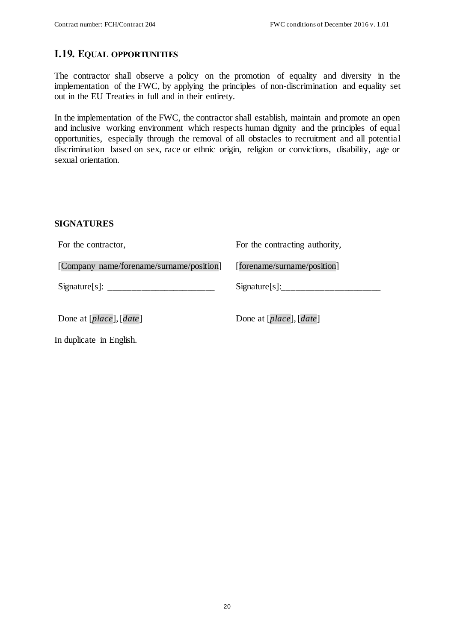# <span id="page-19-0"></span>**I.19. EQUAL OPPORTUNITIES**

The contractor shall observe a policy on the promotion of equality and diversity in the implementation of the FWC, by applying the principles of non-discrimination and equality set out in the EU Treaties in full and in their entirety.

In the implementation of the FWC, the contractor shall establish, maintain and promote an open and inclusive working environment which respects human dignity and the principles of equal opportunities, especially through the removal of all obstacles to recruitment and all potential discrimination based on sex, race or ethnic origin, religion or convictions, disability, age or sexual orientation.

## **SIGNATURES**

For the contractor,

For the contracting authority,

[forename/surname/position]

[Company name/forename/surname/position]

 $Signature[s]:$ 

 $Signature[s]$ :

Done at [*place*], [*date*] Done at [*place*], [*date*]

In duplicate in English.

20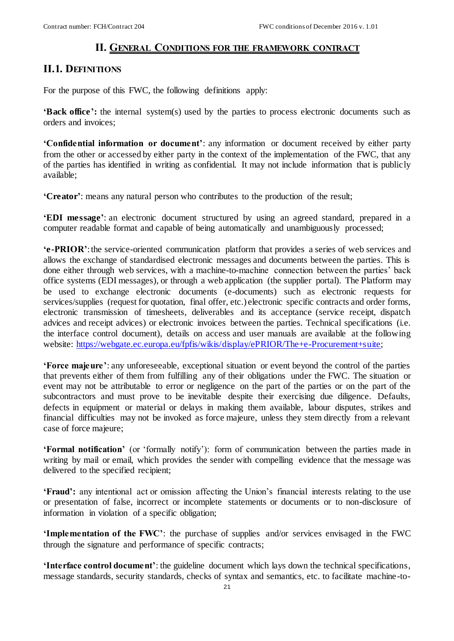# **II. GENERAL CONDITIONS FOR THE FRAMEWORK CONTRACT**

# <span id="page-20-1"></span><span id="page-20-0"></span>**II.1. DEFINITIONS**

For the purpose of this FWC, the following definitions apply:

**'Back office':** the internal system(s) used by the parties to process electronic documents such as orders and invoices;

**'Confidential information or document'**: any information or document received by either party from the other or accessed by either party in the context of the implementation of the FWC, that any of the parties has identified in writing as confidential. It may not include information that is publicly available;

**'Creator'**: means any natural person who contributes to the production of the result;

**'EDI message'**: an electronic document structured by using an agreed standard, prepared in a computer readable format and capable of being automatically and unambiguously processed;

**'e-PRIOR'**:the service-oriented communication platform that provides a series of web services and allows the exchange of standardised electronic messages and documents between the parties. This is done either through web services, with a machine-to-machine connection between the parties' back office systems (EDI messages), or through a web application (the supplier portal). The Platform may be used to exchange electronic documents (e-documents) such as electronic requests for services/supplies (request for quotation, final offer, etc.) electronic specific contracts and order forms, electronic transmission of timesheets, deliverables and its acceptance (service receipt, dispatch advices and receipt advices) or electronic invoices between the parties. Technical specifications (i.e. the interface control document), details on access and user manuals are available at the following website: [https://webgate.ec.europa.eu/fpfis/wikis/display/ePRIOR/The+e-Procurement+suite;](https://webgate.ec.europa.eu/fpfis/wikis/display/ePRIOR/The+e-Procurement+suite)

**'Force majeure'**: any unforeseeable, exceptional situation or event beyond the control of the parties that prevents either of them from fulfilling any of their obligations under the FWC. The situation or event may not be attributable to error or negligence on the part of the parties or on the part of the subcontractors and must prove to be inevitable despite their exercising due diligence. Defaults, defects in equipment or material or delays in making them available, labour disputes, strikes and financial difficulties may not be invoked as force majeure, unless they stem directly from a relevant case of force majeure;

**'Formal notification'** (or 'formally notify'): form of communication between the parties made in writing by mail or email, which provides the sender with compelling evidence that the message was delivered to the specified recipient;

**'Fraud':** any intentional act or omission affecting the Union's financial interests relating to the use or presentation of false, incorrect or incomplete statements or documents or to non-disclosure of information in violation of a specific obligation;

**'Implementation of the FWC'**: the purchase of supplies and/or services envisaged in the FWC through the signature and performance of specific contracts;

**'Interface control document'**: the guideline document which lays down the technical specifications, message standards, security standards, checks of syntax and semantics, etc. to facilitate machine-to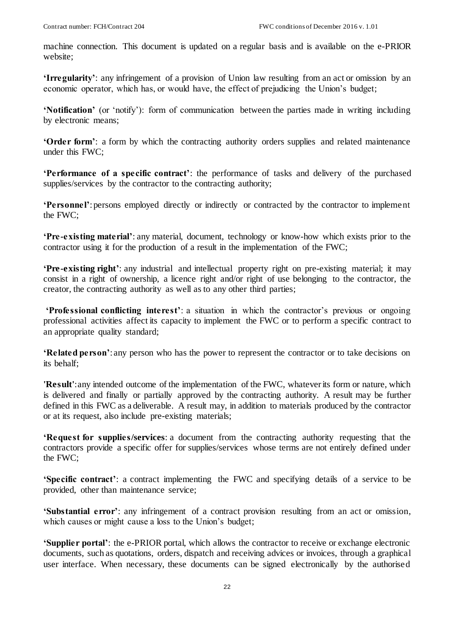machine connection. This document is updated on a regular basis and is available on the e-PRIOR website;

**'Irregularity'**: any infringement of a provision of Union law resulting from an act or omission by an economic operator, which has, or would have, the effect of prejudicing the Union's budget;

**'Notification'** (or 'notify'): form of communication between the parties made in writing including by electronic means;

**'Order form'**: a form by which the contracting authority orders supplies and related maintenance under this FWC;

**'Performance of a specific contract'**: the performance of tasks and delivery of the purchased supplies/services by the contractor to the contracting authority;

**'Personnel'**: persons employed directly or indirectly or contracted by the contractor to implement the FWC;

**'Pre-existing material'**: any material, document, technology or know-how which exists prior to the contractor using it for the production of a result in the implementation of the FWC;

**'Pre-existing right'**: any industrial and intellectual property right on pre-existing material; it may consist in a right of ownership, a licence right and/or right of use belonging to the contractor, the creator, the contracting authority as well as to any other third parties;

**'Professional conflicting interest'**: a situation in which the contractor's previous or ongoing professional activities affect its capacity to implement the FWC or to perform a specific contract to an appropriate quality standard;

**'Related person'**: any person who has the power to represent the contractor or to take decisions on its behalf;

**'Result'**: any intended outcome of the implementation of the FWC, whatever its form or nature, which is delivered and finally or partially approved by the contracting authority. A result may be further defined in this FWC as a deliverable. A result may, in addition to materials produced by the contractor or at its request, also include pre-existing materials;

**'Request for supplies/services**: a document from the contracting authority requesting that the contractors provide a specific offer for supplies/services whose terms are not entirely defined under the FWC;

**'Specific contract'**: a contract implementing the FWC and specifying details of a service to be provided, other than maintenance service;

**'Substantial error'**: any infringement of a contract provision resulting from an act or omission, which causes or might cause a loss to the Union's budget;

**'Supplier portal'**: the e-PRIOR portal, which allows the contractor to receive or exchange electronic documents, such as quotations, orders, dispatch and receiving advices or invoices, through a graphical user interface. When necessary, these documents can be signed electronically by the authorised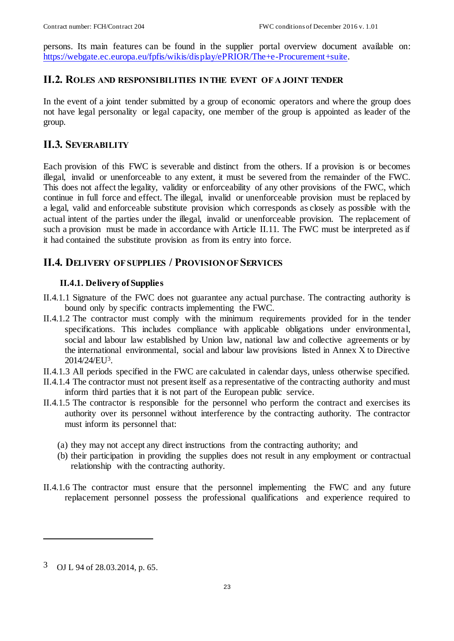persons. Its main features can be found in the supplier portal overview document available on: [https://webgate.ec.europa.eu/fpfis/wikis/display/ePRIOR/The+e-Procurement+suite.](https://webgate.ec.europa.eu/fpfis/wikis/display/ePRIOR/The+e-Procurement+suite)

## <span id="page-22-0"></span>**II.2. ROLES AND RESPONSIBILITIES IN THE EVENT OF A JOINT TENDER**

In the event of a joint tender submitted by a group of economic operators and where the group does not have legal personality or legal capacity, one member of the group is appointed as leader of the group.

# <span id="page-22-1"></span>**II.3. SEVERABILITY**

Each provision of this FWC is severable and distinct from the others. If a provision is or becomes illegal, invalid or unenforceable to any extent, it must be severed from the remainder of the FWC. This does not affect the legality, validity or enforceability of any other provisions of the FWC, which continue in full force and effect. The illegal, invalid or unenforceable provision must be replaced by a legal, valid and enforceable substitute provision which corresponds as closely as possible with the actual intent of the parties under the illegal, invalid or unenforceable provision. The replacement of such a provision must be made in accordance with Article II.11. The FWC must be interpreted as if it had contained the substitute provision as from its entry into force.

# <span id="page-22-2"></span>**II.4. DELIVERY OF SUPPLIES / PROVISION OF SERVICES**

## **II.4.1. Delivery of Supplies**

- II.4.1.1 Signature of the FWC does not guarantee any actual purchase. The contracting authority is bound only by specific contracts implementing the FWC.
- II.4.1.2 The contractor must comply with the minimum requirements provided for in the tender specifications. This includes compliance with applicable obligations under environmental, social and labour law established by Union law, national law and collective agreements or by the international environmental, social and labour law provisions listed in Annex X to Directive 2014/24/EU<sup>3</sup> .
- II.4.1.3 All periods specified in the FWC are calculated in calendar days, unless otherwise specified.
- II.4.1.4 The contractor must not present itself as a representative of the contracting authority and must inform third parties that it is not part of the European public service.
- II.4.1.5 The contractor is responsible for the personnel who perform the contract and exercises its authority over its personnel without interference by the contracting authority. The contractor must inform its personnel that:
	- (a) they may not accept any direct instructions from the contracting authority; and
	- (b) their participation in providing the supplies does not result in any employment or contractual relationship with the contracting authority.
- II.4.1.6 The contractor must ensure that the personnel implementing the FWC and any future replacement personnel possess the professional qualifications and experience required to

1

<sup>3</sup> OJ L 94 of 28.03.2014, p. 65.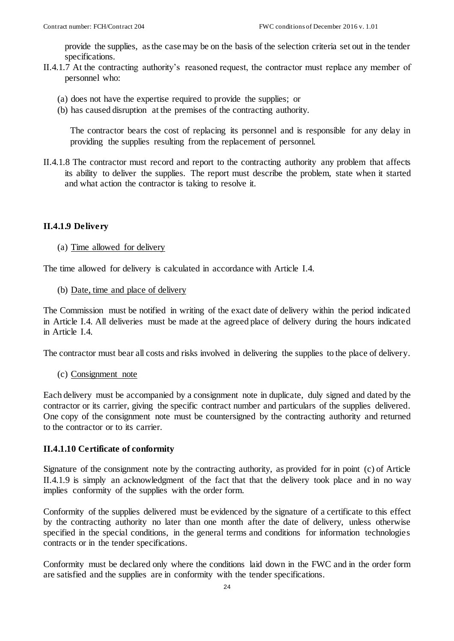provide the supplies, as the case may be on the basis of the selection criteria set out in the tender specifications.

- II.4.1.7 At the contracting authority's reasoned request, the contractor must replace any member of personnel who:
	- (a) does not have the expertise required to provide the supplies; or
	- (b) has caused disruption at the premises of the contracting authority.

The contractor bears the cost of replacing its personnel and is responsible for any delay in providing the supplies resulting from the replacement of personnel.

II.4.1.8 The contractor must record and report to the contracting authority any problem that affects its ability to deliver the supplies. The report must describe the problem, state when it started and what action the contractor is taking to resolve it.

### <span id="page-23-0"></span>**II.4.1.9 Delivery**

#### (a) Time allowed for delivery

The time allowed for delivery is calculated in accordance with Article [I.4.](#page-9-0)

(b) Date, time and place of delivery

The Commission must be notified in writing of the exact date of delivery within the period indicated in Article [I.4.](#page-9-0) All deliveries must be made at the agreed place of delivery during the hours indicated in Article [I.4.](#page-9-0)

The contractor must bear all costs and risks involved in delivering the supplies to the place of delivery.

(c) Consignment note

Each delivery must be accompanied by a consignment note in duplicate, duly signed and dated by the contractor or its carrier, giving the specific contract number and particulars of the supplies delivered. One copy of the consignment note must be countersigned by the contracting authority and returned to the contractor or to its carrier.

### **II.4.1.10 Certificate of conformity**

Signature of the consignment note by the contracting authority, as provided for in point (c) of Article [II.4.1.9](#page-23-0) is simply an acknowledgment of the fact that that the delivery took place and in no way implies conformity of the supplies with the order form.

Conformity of the supplies delivered must be evidenced by the signature of a certificate to this effect by the contracting authority no later than one month after the date of delivery, unless otherwise specified in the special conditions, in the general terms and conditions for information technologies contracts or in the tender specifications.

Conformity must be declared only where the conditions laid down in the FWC and in the order form are satisfied and the supplies are in conformity with the tender specifications.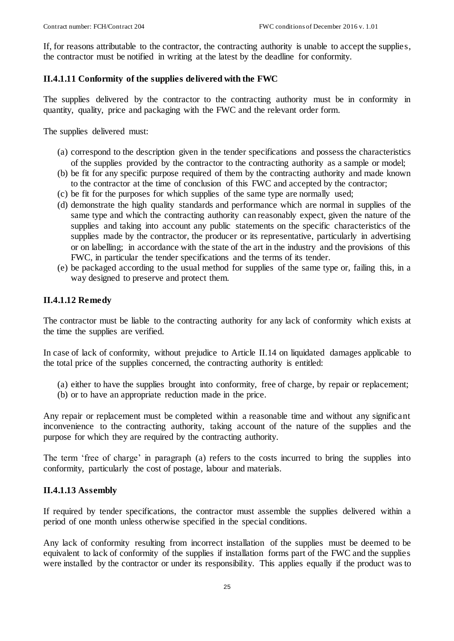If, for reasons attributable to the contractor, the contracting authority is unable to accept the supplies, the contractor must be notified in writing at the latest by the deadline for conformity.

## **II.4.1.11 Conformity of the supplies delivered with the FWC**

The supplies delivered by the contractor to the contracting authority must be in conformity in quantity, quality, price and packaging with the FWC and the relevant order form.

The supplies delivered must:

- (a) correspond to the description given in the tender specifications and possess the characteristics of the supplies provided by the contractor to the contracting authority as a sample or model;
- (b) be fit for any specific purpose required of them by the contracting authority and made known to the contractor at the time of conclusion of this FWC and accepted by the contractor;
- (c) be fit for the purposes for which supplies of the same type are normally used;
- (d) demonstrate the high quality standards and performance which are normal in supplies of the same type and which the contracting authority can reasonably expect, given the nature of the supplies and taking into account any public statements on the specific characteristics of the supplies made by the contractor, the producer or its representative, particularly in advertising or on labelling; in accordance with the state of the art in the industry and the provisions of this FWC, in particular the tender specifications and the terms of its tender.
- (e) be packaged according to the usual method for supplies of the same type or, failing this, in a way designed to preserve and protect them.

### **II.4.1.12 Remedy**

The contractor must be liable to the contracting authority for any lack of conformity which exists at the time the supplies are verified.

In case of lack of conformity, without prejudice to Article [II.14](#page-33-0) on liquidated damages applicable to the total price of the supplies concerned, the contracting authority is entitled:

- (a) either to have the supplies brought into conformity, free of charge, by repair or replacement;
- (b) or to have an appropriate reduction made in the price.

Any repair or replacement must be completed within a reasonable time and without any significant inconvenience to the contracting authority, taking account of the nature of the supplies and the purpose for which they are required by the contracting authority.

The term 'free of charge' in paragraph (a) refers to the costs incurred to bring the supplies into conformity, particularly the cost of postage, labour and materials.

### **II.4.1.13 Assembly**

If required by tender specifications, the contractor must assemble the supplies delivered within a period of one month unless otherwise specified in the special conditions.

Any lack of conformity resulting from incorrect installation of the supplies must be deemed to be equivalent to lack of conformity of the supplies if installation forms part of the FWC and the supplies were installed by the contractor or under its responsibility. This applies equally if the product was to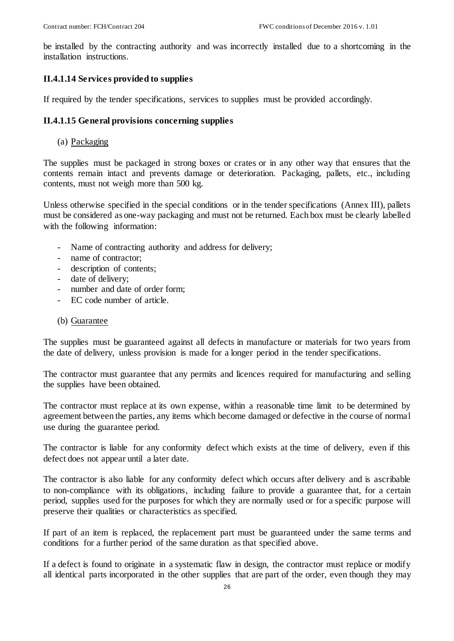be installed by the contracting authority and was incorrectly installed due to a shortcoming in the installation instructions.

## **II.4.1.14 Services provided to supplies**

If required by the tender specifications, services to supplies must be provided accordingly.

### **II.4.1.15 General provisions concerning supplies**

#### (a) Packaging

The supplies must be packaged in strong boxes or crates or in any other way that ensures that the contents remain intact and prevents damage or deterioration. Packaging, pallets, etc., including contents, must not weigh more than 500 kg.

Unless otherwise specified in the special conditions or in the tender specifications (Annex III), pallets must be considered as one-way packaging and must not be returned. Each box must be clearly labelled with the following information:

- Name of contracting authority and address for delivery;
- name of contractor;
- description of contents;
- date of delivery;
- number and date of order form;
- EC code number of article.

#### (b) Guarantee

The supplies must be guaranteed against all defects in manufacture or materials for two years from the date of delivery, unless provision is made for a longer period in the tender specifications.

The contractor must guarantee that any permits and licences required for manufacturing and selling the supplies have been obtained.

The contractor must replace at its own expense, within a reasonable time limit to be determined by agreement between the parties, any items which become damaged or defective in the course of normal use during the guarantee period.

The contractor is liable for any conformity defect which exists at the time of delivery, even if this defect does not appear until a later date.

The contractor is also liable for any conformity defect which occurs after delivery and is ascribable to non-compliance with its obligations, including failure to provide a guarantee that, for a certain period, supplies used for the purposes for which they are normally used or for a specific purpose will preserve their qualities or characteristics as specified.

If part of an item is replaced, the replacement part must be guaranteed under the same terms and conditions for a further period of the same duration as that specified above.

If a defect is found to originate in a systematic flaw in design, the contractor must replace or modify all identical parts incorporated in the other supplies that are part of the order, even though they may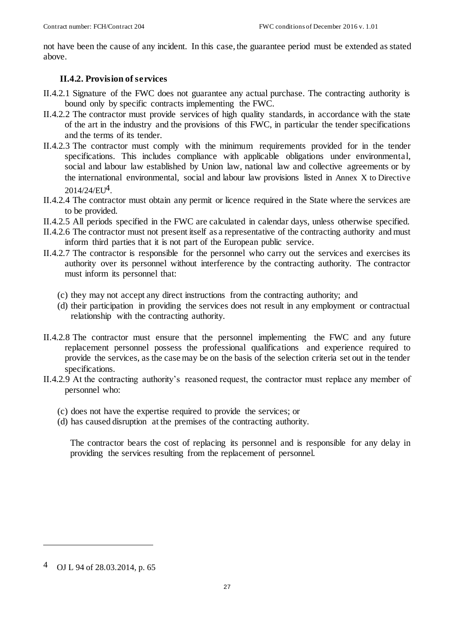not have been the cause of any incident. In this case, the guarantee period must be extended as stated above.

#### **II.4.2. Provision of services**

- <span id="page-26-0"></span>II.4.2.1 Signature of the FWC does not guarantee any actual purchase. The contracting authority is bound only by specific contracts implementing the FWC.
- II.4.2.2 The contractor must provide services of high quality standards, in accordance with the state of the art in the industry and the provisions of this FWC, in particular the tender specifications and the terms of its tender.
- II.4.2.3 The contractor must comply with the minimum requirements provided for in the tender specifications. This includes compliance with applicable obligations under environmental, social and labour law established by Union law, national law and collective agreements or by the international environmental, social and labour law provisions listed in Annex X to Directive  $2014/24$ /EU<sup>4</sup>.
- II.4.2.4 The contractor must obtain any permit or licence required in the State where the services are to be provided.
- II.4.2.5 All periods specified in the FWC are calculated in calendar days, unless otherwise specified.
- II.4.2.6 The contractor must not present itself as a representative of the contracting authority and must inform third parties that it is not part of the European public service.
- II.4.2.7 The contractor is responsible for the personnel who carry out the services and exercises its authority over its personnel without interference by the contracting authority. The contractor must inform its personnel that:
	- (c) they may not accept any direct instructions from the contracting authority; and
	- (d) their participation in providing the services does not result in any employment or contractual relationship with the contracting authority.
- II.4.2.8 The contractor must ensure that the personnel implementing the FWC and any future replacement personnel possess the professional qualifications and experience required to provide the services, as the case may be on the basis of the selection criteria set out in the tender specifications.
- II.4.2.9 At the contracting authority's reasoned request, the contractor must replace any member of personnel who:
	- (c) does not have the expertise required to provide the services; or
	- (d) has caused disruption at the premises of the contracting authority.

The contractor bears the cost of replacing its personnel and is responsible for any delay in providing the services resulting from the replacement of personnel.

1

<sup>4</sup> OJ L 94 of 28.03.2014, p. 65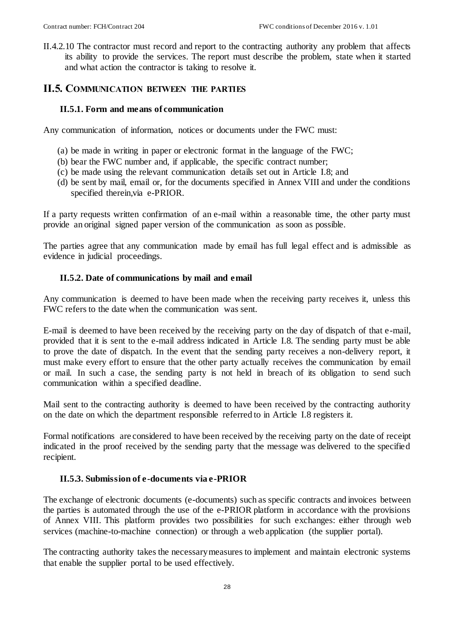II.4.2.10 The contractor must record and report to the contracting authority any problem that affects its ability to provide the services. The report must describe the problem, state when it started and what action the contractor is taking to resolve it.

## <span id="page-27-0"></span>**II.5. COMMUNICATION BETWEEN THE PARTIES**

#### <span id="page-27-1"></span>**II.5.1. Form and means of communication**

Any communication of information, notices or documents under the FWC must:

- (a) be made in writing in paper or electronic format in the language of the FWC;
- (b) bear the FWC number and, if applicable, the specific contract number;
- (c) be made using the relevant communication details set out in Article [I.8;](#page-12-0) and
- (d) be sent by mail, email or, for the documents specified in Annex VIII and under the conditions specified therein,via e-PRIOR.

If a party requests written confirmation of an e-mail within a reasonable time, the other party must provide an original signed paper version of the communication as soon as possible.

The parties agree that any communication made by email has full legal effect and is admissible as evidence in judicial proceedings.

#### **II.5.2. Date of communications by mail and email**

Any communication is deemed to have been made when the receiving party receives it, unless this FWC refers to the date when the communication was sent.

E-mail is deemed to have been received by the receiving party on the day of dispatch of that e-mail, provided that it is sent to the e-mail address indicated in Article [I.8.](#page-12-0) The sending party must be able to prove the date of dispatch. In the event that the sending party receives a non-delivery report, it must make every effort to ensure that the other party actually receives the communication by email or mail. In such a case, the sending party is not held in breach of its obligation to send such communication within a specified deadline.

Mail sent to the contracting authority is deemed to have been received by the contracting authority on the date on which the department responsible referred to in Article [I.8](#page-12-0) registers it.

Formal notifications are considered to have been received by the receiving party on the date of receipt indicated in the proof received by the sending party that the message was delivered to the specified recipient.

#### **II.5.3. Submission of e-documents via e-PRIOR**

The exchange of electronic documents (e-documents) such as specific contracts and invoices between the parties is automated through the use of the e-PRIOR platform in accordance with the provisions of Annex VIII. This platform provides two possibilities for such exchanges: either through web services (machine-to-machine connection) or through a web application (the supplier portal).

The contracting authority takes the necessary measures to implement and maintain electronic systems that enable the supplier portal to be used effectively.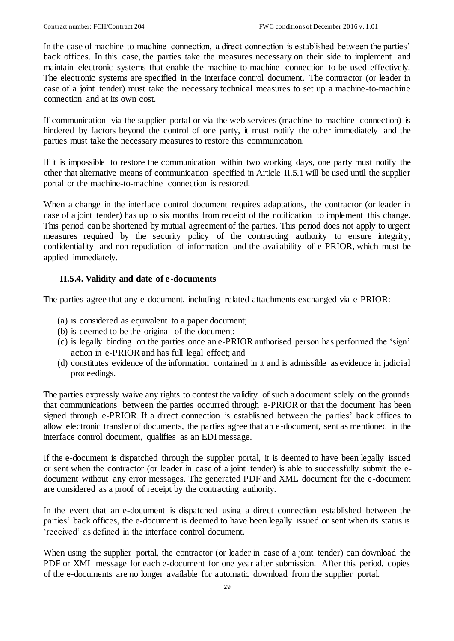In the case of machine-to-machine connection, a direct connection is established between the parties' back offices. In this case, the parties take the measures necessary on their side to implement and maintain electronic systems that enable the machine-to-machine connection to be used effectively. The electronic systems are specified in the interface control document. The contractor (or leader in case of a joint tender) must take the necessary technical measures to set up a machine-to-machine connection and at its own cost.

If communication via the supplier portal or via the web services (machine-to-machine connection) is hindered by factors beyond the control of one party, it must notify the other immediately and the parties must take the necessary measures to restore this communication.

If it is impossible to restore the communication within two working days, one party must notify the other that alternative means of communication specified in Article [II.5.1](#page-27-1) will be used until the supplier portal or the machine-to-machine connection is restored.

When a change in the interface control document requires adaptations, the contractor (or leader in case of a joint tender) has up to six months from receipt of the notification to implement this change. This period can be shortened by mutual agreement of the parties. This period does not apply to urgent measures required by the security policy of the contracting authority to ensure integrity, confidentiality and non-repudiation of information and the availability of e-PRIOR, which must be applied immediately.

### **II.5.4. Validity and date of e-documents**

The parties agree that any e-document, including related attachments exchanged via e-PRIOR:

- (a) is considered as equivalent to a paper document;
- (b) is deemed to be the original of the document;
- (c) is legally binding on the parties once an e-PRIOR authorised person has performed the 'sign' action in e-PRIOR and has full legal effect; and
- (d) constitutes evidence of the information contained in it and is admissible as evidence in judicial proceedings.

The parties expressly waive any rights to contest the validity of such a document solely on the grounds that communications between the parties occurred through e-PRIOR or that the document has been signed through e-PRIOR. If a direct connection is established between the parties' back offices to allow electronic transfer of documents, the parties agree that an e-document, sent as mentioned in the interface control document, qualifies as an EDI message.

If the e-document is dispatched through the supplier portal, it is deemed to have been legally issued or sent when the contractor (or leader in case of a joint tender) is able to successfully submit the edocument without any error messages. The generated PDF and XML document for the e-document are considered as a proof of receipt by the contracting authority.

In the event that an e-document is dispatched using a direct connection established between the parties' back offices, the e-document is deemed to have been legally issued or sent when its status is 'received' as defined in the interface control document.

When using the supplier portal, the contractor (or leader in case of a joint tender) can download the PDF or XML message for each e-document for one year after submission. After this period, copies of the e-documents are no longer available for automatic download from the supplier portal.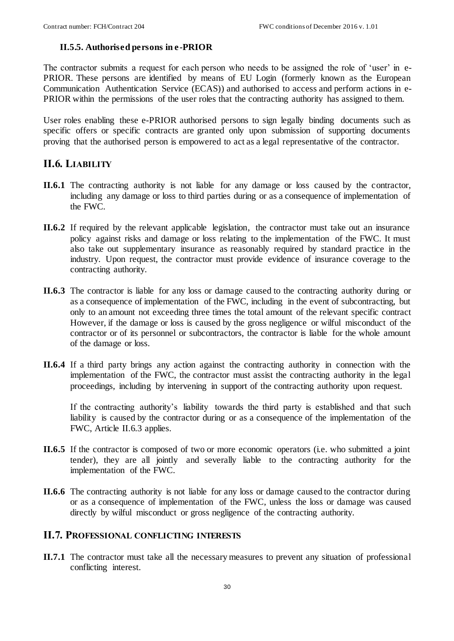#### **II.5.5. Authorised persons in e -PRIOR**

The contractor submits a request for each person who needs to be assigned the role of 'user' in e-PRIOR. These persons are identified by means of EU Login (formerly known as the European Communication Authentication Service (ECAS)) and authorised to access and perform actions in e-PRIOR within the permissions of the user roles that the contracting authority has assigned to them.

User roles enabling these e-PRIOR authorised persons to sign legally binding documents such as specific offers or specific contracts are granted only upon submission of supporting documents proving that the authorised person is empowered to act as a legal representative of the contractor.

# <span id="page-29-0"></span>**II.6. LIABILITY**

- **II.6.1** The contracting authority is not liable for any damage or loss caused by the contractor, including any damage or loss to third parties during or as a consequence of implementation of the FWC.
- **II.6.2** If required by the relevant applicable legislation, the contractor must take out an insurance policy against risks and damage or loss relating to the implementation of the FWC. It must also take out supplementary insurance as reasonably required by standard practice in the industry. Upon request, the contractor must provide evidence of insurance coverage to the contracting authority.
- **II.6.3** The contractor is liable for any loss or damage caused to the contracting authority during or as a consequence of implementation of the FWC, including in the event of subcontracting, but only to an amount not exceeding three times the total amount of the relevant specific contract However, if the damage or loss is caused by the gross negligence or wilful misconduct of the contractor or of its personnel or subcontractors, the contractor is liable for the whole amount of the damage or loss.
- **II.6.4** If a third party brings any action against the contracting authority in connection with the implementation of the FWC, the contractor must assist the contracting authority in the legal proceedings, including by intervening in support of the contracting authority upon request.

If the contracting authority's liability towards the third party is established and that such liability is caused by the contractor during or as a consequence of the implementation of the FWC, Article [II.6.](#page-29-0)3 applies.

- **II.6.5** If the contractor is composed of two or more economic operators (i.e. who submitted a joint tender), they are all jointly and severally liable to the contracting authority for the implementation of the FWC.
- **II.6.6** The contracting authority is not liable for any loss or damage caused to the contractor during or as a consequence of implementation of the FWC, unless the loss or damage was caused directly by wilful misconduct or gross negligence of the contracting authority.

### <span id="page-29-1"></span>**II.7. PROFESSIONAL CONFLICTING INTERESTS**

**II.7.1** The contractor must take all the necessary measures to prevent any situation of professional conflicting interest.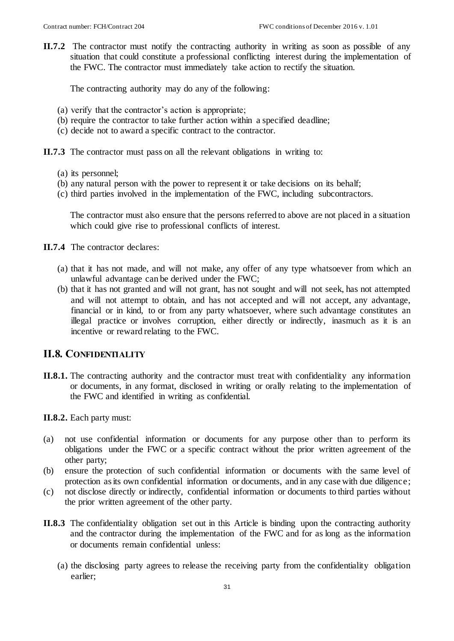**II.7.2** The contractor must notify the contracting authority in writing as soon as possible of any situation that could constitute a professional conflicting interest during the implementation of the FWC. The contractor must immediately take action to rectify the situation.

The contracting authority may do any of the following:

- (a) verify that the contractor's action is appropriate;
- (b) require the contractor to take further action within a specified deadline;
- (c) decide not to award a specific contract to the contractor.

**II.7.3** The contractor must pass on all the relevant obligations in writing to:

- (a) its personnel;
- (b) any natural person with the power to represent it or take decisions on its behalf;
- (c) third parties involved in the implementation of the FWC, including subcontractors.

The contractor must also ensure that the persons referred to above are not placed in a situation which could give rise to professional conflicts of interest.

- **II.7.4** The contractor declares:
	- (a) that it has not made, and will not make, any offer of any type whatsoever from which an unlawful advantage can be derived under the FWC;
	- (b) that it has not granted and will not grant, has not sought and will not seek, has not attempted and will not attempt to obtain, and has not accepted and will not accept, any advantage, financial or in kind, to or from any party whatsoever, where such advantage constitutes an illegal practice or involves corruption, either directly or indirectly, inasmuch as it is an incentive or reward relating to the FWC.

## <span id="page-30-0"></span>**II.8. CONFIDENTIALITY**

- **II.8.1.** The contracting authority and the contractor must treat with confidentiality any information or documents, in any format, disclosed in writing or orally relating to the implementation of the FWC and identified in writing as confidential.
- **II.8.2.** Each party must:
- (a) not use confidential information or documents for any purpose other than to perform its obligations under the FWC or a specific contract without the prior written agreement of the other party;
- (b) ensure the protection of such confidential information or documents with the same level of protection as its own confidential information or documents, and in any case with due diligence;
- (c) not disclose directly or indirectly, confidential information or documents to third parties without the prior written agreement of the other party.
- **II.8.3** The confidentiality obligation set out in this Article is binding upon the contracting authority and the contractor during the implementation of the FWC and for as long as the information or documents remain confidential unless:
	- (a) the disclosing party agrees to release the receiving party from the confidentiality obligation earlier;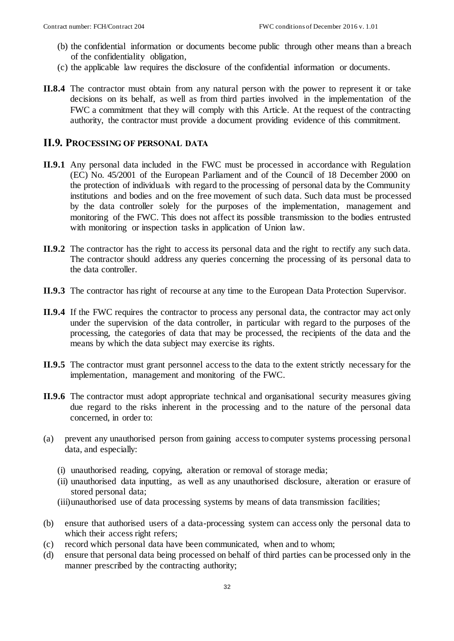- (b) the confidential information or documents become public through other means than a breach of the confidentiality obligation,
- (c) the applicable law requires the disclosure of the confidential information or documents.
- **II.8.4** The contractor must obtain from any natural person with the power to represent it or take decisions on its behalf, as well as from third parties involved in the implementation of the FWC a commitment that they will comply with this Article. At the request of the contracting authority, the contractor must provide a document providing evidence of this commitment.

#### <span id="page-31-0"></span>**II.9. PROCESSING OF PERSONAL DATA**

- **II.9.1** Any personal data included in the FWC must be processed in accordance with Regulation (EC) No. 45/2001 of the European Parliament and of the Council of 18 December 2000 on the protection of individuals with regard to the processing of personal data by the Community institutions and bodies and on the free movement of such data. Such data must be processed by the data controller solely for the purposes of the implementation, management and monitoring of the FWC. This does not affect its possible transmission to the bodies entrusted with monitoring or inspection tasks in application of Union law.
- **II.9.2** The contractor has the right to access its personal data and the right to rectify any such data. The contractor should address any queries concerning the processing of its personal data to the data controller.
- **II.9.3** The contractor has right of recourse at any time to the European Data Protection Supervisor.
- **II.9.4** If the FWC requires the contractor to process any personal data, the contractor may act only under the supervision of the data controller, in particular with regard to the purposes of the processing, the categories of data that may be processed, the recipients of the data and the means by which the data subject may exercise its rights.
- **II.9.5** The contractor must grant personnel access to the data to the extent strictly necessary for the implementation, management and monitoring of the FWC.
- **II.9.6** The contractor must adopt appropriate technical and organisational security measures giving due regard to the risks inherent in the processing and to the nature of the personal data concerned, in order to:
- (a) prevent any unauthorised person from gaining access to computer systems processing personal data, and especially:
	- (i) unauthorised reading, copying, alteration or removal of storage media;
	- (ii) unauthorised data inputting, as well as any unauthorised disclosure, alteration or erasure of stored personal data;
	- (iii)unauthorised use of data processing systems by means of data transmission facilities;
- (b) ensure that authorised users of a data-processing system can access only the personal data to which their access right refers;
- (c) record which personal data have been communicated, when and to whom;
- (d) ensure that personal data being processed on behalf of third parties can be processed only in the manner prescribed by the contracting authority;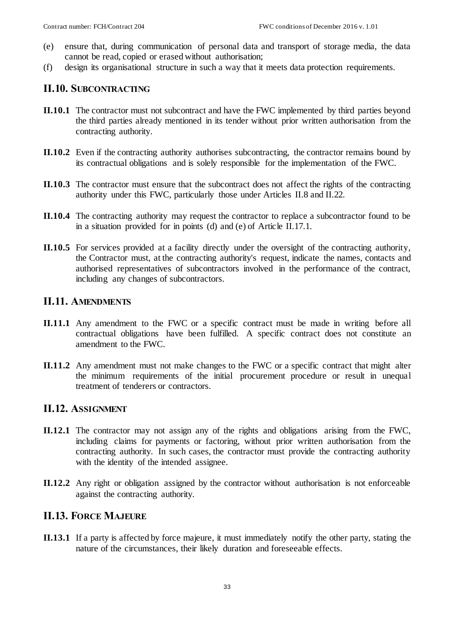- (e) ensure that, during communication of personal data and transport of storage media, the data cannot be read, copied or erased without authorisation;
- <span id="page-32-0"></span>(f) design its organisational structure in such a way that it meets data protection requirements.

## **II.10. SUBCONTRACTING**

- **II.10.1** The contractor must not subcontract and have the FWC implemented by third parties beyond the third parties already mentioned in its tender without prior written authorisation from the contracting authority.
- **II.10.2** Even if the contracting authority authorises subcontracting, the contractor remains bound by its contractual obligations and is solely responsible for the implementation of the FWC.
- **II.10.3** The contractor must ensure that the subcontract does not affect the rights of the contracting authority under this FWC, particularly those under Articles [II.8](#page-30-0) an[d II.22.](#page-44-0)
- **II.10.4** The contracting authority may request the contractor to replace a subcontractor found to be in a situation provided for in points (d) and (e) of Article [II.17.1.](#page-35-1)
- **II.10.5** For services provided at a facility directly under the oversight of the contracting authority, the Contractor must, at the contracting authority's request, indicate the names, contacts and authorised representatives of subcontractors involved in the performance of the contract, including any changes of subcontractors.

## <span id="page-32-1"></span>**II.11. AMENDMENTS**

- **II.11.1** Any amendment to the FWC or a specific contract must be made in writing before all contractual obligations have been fulfilled. A specific contract does not constitute an amendment to the FWC.
- **II.11.2** Any amendment must not make changes to the FWC or a specific contract that might alter the minimum requirements of the initial procurement procedure or result in unequal treatment of tenderers or contractors.

# <span id="page-32-2"></span>**II.12. ASSIGNMENT**

- **II.12.1** The contractor may not assign any of the rights and obligations arising from the FWC, including claims for payments or factoring, without prior written authorisation from the contracting authority. In such cases, the contractor must provide the contracting authority with the identity of the intended assignee.
- **II.12.2** Any right or obligation assigned by the contractor without authorisation is not enforceable against the contracting authority.

# <span id="page-32-3"></span>**II.13. FORCE MAJEURE**

**II.13.1** If a party is affected by force majeure, it must immediately notify the other party, stating the nature of the circumstances, their likely duration and foreseeable effects.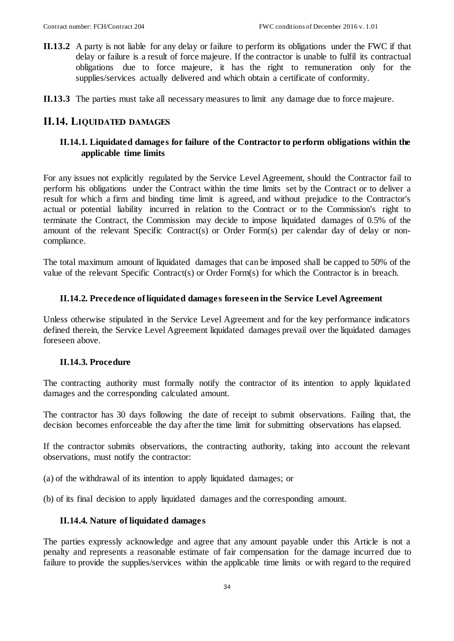- **II.13.2** A party is not liable for any delay or failure to perform its obligations under the FWC if that delay or failure is a result of force majeure. If the contractor is unable to fulfil its contractual obligations due to force majeure, it has the right to remuneration only for the supplies/services actually delivered and which obtain a certificate of conformity.
- **II.13.3** The parties must take all necessary measures to limit any damage due to force majeure.

#### <span id="page-33-0"></span>**II.14. LIQUIDATED DAMAGES**

## **II.14.1. Liquidated damages for failure of the Contractor to perform obligations within the applicable time limits**

For any issues not explicitly regulated by the Service Level Agreement, should the Contractor fail to perform his obligations under the Contract within the time limits set by the Contract or to deliver a result for which a firm and binding time limit is agreed, and without prejudice to the Contractor's actual or potential liability incurred in relation to the Contract or to the Commission's right to terminate the Contract, the Commission may decide to impose liquidated damages of 0.5% of the amount of the relevant Specific Contract(s) or Order Form(s) per calendar day of delay or noncompliance.

The total maximum amount of liquidated damages that can be imposed shall be capped to 50% of the value of the relevant Specific Contract(s) or Order Form(s) for which the Contractor is in breach.

#### **II.14.2. Precedence of liquidated damages foreseen in the Service Level Agreement**

Unless otherwise stipulated in the Service Level Agreement and for the key performance indicators defined therein, the Service Level Agreement liquidated damages prevail over the liquidated damages foreseen above.

#### **II.14.3. Procedure**

The contracting authority must formally notify the contractor of its intention to apply liquidated damages and the corresponding calculated amount.

The contractor has 30 days following the date of receipt to submit observations. Failing that, the decision becomes enforceable the day after the time limit for submitting observations has elapsed.

If the contractor submits observations, the contracting authority, taking into account the relevant observations, must notify the contractor:

(a) of the withdrawal of its intention to apply liquidated damages; or

(b) of its final decision to apply liquidated damages and the corresponding amount.

#### **II.14.4. Nature of liquidated damages**

The parties expressly acknowledge and agree that any amount payable under this Article is not a penalty and represents a reasonable estimate of fair compensation for the damage incurred due to failure to provide the supplies/services within the applicable time limits or with regard to the required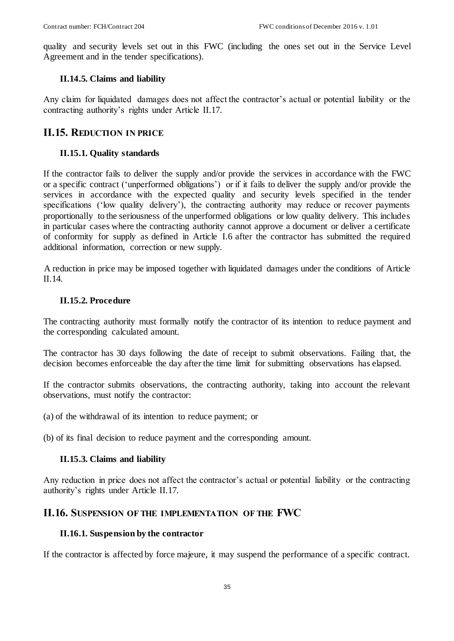quality and security levels set out in this FWC (including the ones set out in the Service Level Agreement and in the tender specifications).

#### **II.14.5. Claims and liability**

Any claim for liquidated damages does not affect the contractor's actual or potential liability or the contracting authority's rights under Article [II.17.](#page-35-0)

## <span id="page-34-0"></span>**II.15. REDUCTION IN PRICE**

#### **II.15.1. Quality standards**

If the contractor fails to deliver the supply and/or provide the services in accordance with the FWC or a specific contract ('unperformed obligations') or if it fails to deliver the supply and/or provide the services in accordance with the expected quality and security levels specified in the tender specifications ('low quality delivery'), the contracting authority may reduce or recover payments proportionally to the seriousness of the unperformed obligations or low quality delivery. This includes in particular cases where the contracting authority cannot approve a document or deliver a certificate of conformity for supply as defined in Article [I.6](#page-10-0) after the contractor has submitted the required additional information, correction or new supply.

A reduction in price may be imposed together with liquidated damages under the conditions of Article [II.14.](#page-33-0)

#### **II.15.2. Procedure**

The contracting authority must formally notify the contractor of its intention to reduce payment and the corresponding calculated amount.

The contractor has 30 days following the date of receipt to submit observations. Failing that, the decision becomes enforceable the day after the time limit for submitting observations has elapsed.

If the contractor submits observations, the contracting authority, taking into account the relevant observations, must notify the contractor:

(a) of the withdrawal of its intention to reduce payment; or

(b) of its final decision to reduce payment and the corresponding amount.

#### **II.15.3. Claims and liability**

Any reduction in price does not affect the contractor's actual or potential liability or the contracting authority's rights under Article [II.17.](#page-35-0)

### <span id="page-34-1"></span>**II.16. SUSPENSION OF THE IMPLEMENTATION OF THE FWC**

#### **II.16.1. Suspension by the contractor**

If the contractor is affected by force majeure, it may suspend the performance of a specific contract.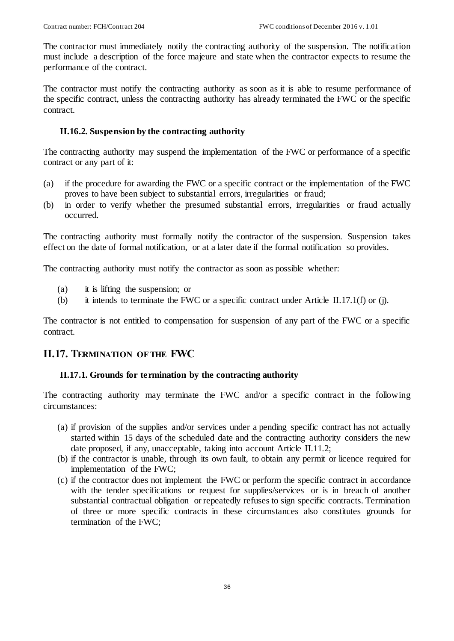The contractor must immediately notify the contracting authority of the suspension. The notification must include a description of the force majeure and state when the contractor expects to resume the performance of the contract.

The contractor must notify the contracting authority as soon as it is able to resume performance of the specific contract, unless the contracting authority has already terminated the FWC or the specific contract.

## **II.16.2. Suspension by the contracting authority**

The contracting authority may suspend the implementation of the FWC or performance of a specific contract or any part of it:

- (a) if the procedure for awarding the FWC or a specific contract or the implementation of the FWC proves to have been subject to substantial errors, irregularities or fraud;
- (b) in order to verify whether the presumed substantial errors, irregularities or fraud actually occurred.

The contracting authority must formally notify the contractor of the suspension. Suspension takes effect on the date of formal notification, or at a later date if the formal notification so provides.

The contracting authority must notify the contractor as soon as possible whether:

- (a) it is lifting the suspension; or
- (b) it intends to terminate the FWC or a specific contract under Article [II.17.1\(](#page-35-1)f) or (j).

The contractor is not entitled to compensation for suspension of any part of the FWC or a specific contract.

# <span id="page-35-0"></span>**II.17. TERMINATION OF THE FWC**

### <span id="page-35-1"></span>**II.17.1. Grounds for termination by the contracting authority**

The contracting authority may terminate the FWC and/or a specific contract in the following circumstances:

- (a) if provision of the supplies and/or services under a pending specific contract has not actually started within 15 days of the scheduled date and the contracting authority considers the new date proposed, if any, unacceptable, taking into account Article [II.11.](#page-32-1)2;
- (b) if the contractor is unable, through its own fault, to obtain any permit or licence required for implementation of the FWC;
- (c) if the contractor does not implement the FWC or perform the specific contract in accordance with the tender specifications or request for supplies/services or is in breach of another substantial contractual obligation or repeatedly refuses to sign specific contracts. Termination of three or more specific contracts in these circumstances also constitutes grounds for termination of the FWC;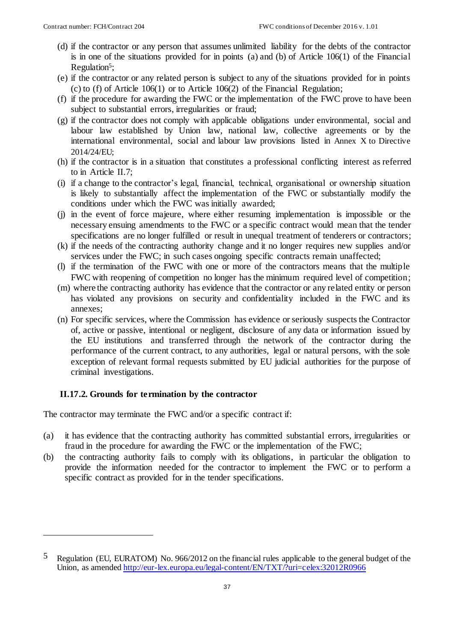- (d) if the contractor or any person that assumes unlimited liability for the debts of the contractor is in one of the situations provided for in points (a) and (b) of Article 106(1) of the Financial  $Regulation<sup>5</sup>$ ;
- (e) if the contractor or any related person is subject to any of the situations provided for in points (c) to (f) of Article 106(1) or to Article 106(2) of the Financial Regulation;
- (f) if the procedure for awarding the FWC or the implementation of the FWC prove to have been subject to substantial errors, irregularities or fraud;
- (g) if the contractor does not comply with applicable obligations under environmental, social and labour law established by Union law, national law, collective agreements or by the international environmental, social and labour law provisions listed in Annex X to Directive 2014/24/EU;
- (h) if the contractor is in a situation that constitutes a professional conflicting interest as referred to in Article [II.7;](#page-29-1)
- (i) if a change to the contractor's legal, financial, technical, organisational or ownership situation is likely to substantially affect the implementation of the FWC or substantially modify the conditions under which the FWC was initially awarded;
- (j) in the event of force majeure, where either resuming implementation is impossible or the necessary ensuing amendments to the FWC or a specific contract would mean that the tender specifications are no longer fulfilled or result in unequal treatment of tenderers or contractors;
- (k) if the needs of the contracting authority change and it no longer requires new supplies and/or services under the FWC; in such cases ongoing specific contracts remain unaffected;
- (l) if the termination of the FWC with one or more of the contractors means that the multiple FWC with reopening of competition no longer has the minimum required level of competition;
- (m) where the contracting authority has evidence that the contractor or any related entity or person has violated any provisions on security and confidentiality included in the FWC and its annexes;
- (n) For specific services, where the Commission has evidence or seriously suspects the Contractor of, active or passive, intentional or negligent, disclosure of any data or information issued by the EU institutions and transferred through the network of the contractor during the performance of the current contract, to any authorities, legal or natural persons, with the sole exception of relevant formal requests submitted by EU judicial authorities for the purpose of criminal investigations.

#### <span id="page-36-0"></span>**II.17.2. Grounds for termination by the contractor**

1

The contractor may terminate the FWC and/or a specific contract if:

- (a) it has evidence that the contracting authority has committed substantial errors, irregularities or fraud in the procedure for awarding the FWC or the implementation of the FWC;
- (b) the contracting authority fails to comply with its obligations, in particular the obligation to provide the information needed for the contractor to implement the FWC or to perform a specific contract as provided for in the tender specifications.

<sup>5</sup> Regulation (EU, EURATOM) No. 966/2012 on the financial rules applicable to the general budget of the Union, as amended<http://eur-lex.europa.eu/legal-content/EN/TXT/?uri=celex:32012R0966>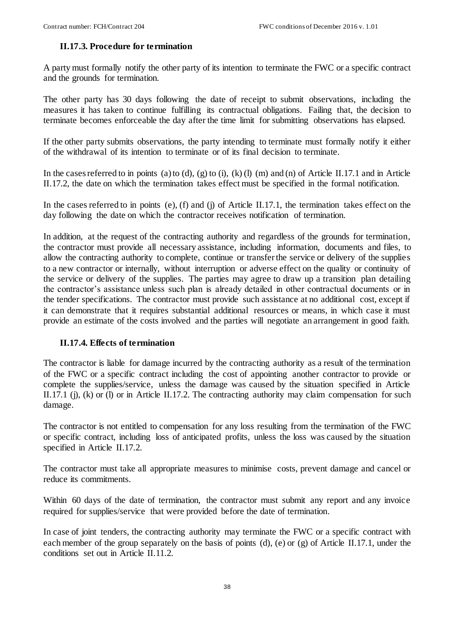#### **II.17.3. Procedure for termination**

A party must formally notify the other party of its intention to terminate the FWC or a specific contract and the grounds for termination.

The other party has 30 days following the date of receipt to submit observations, including the measures it has taken to continue fulfilling its contractual obligations. Failing that, the decision to terminate becomes enforceable the day after the time limit for submitting observations has elapsed.

If the other party submits observations, the party intending to terminate must formally notify it either of the withdrawal of its intention to terminate or of its final decision to terminate.

In the cases referred to in points (a) to (d), (g) to (i), (k) (l) (m) and (n) of Article [II.17.1](#page-35-1) and in Article [II.17.2,](#page-36-0) the date on which the termination takes effect must be specified in the formal notification.

In the cases referred to in points (e), (f) and (j) of Article [II.17.1,](#page-35-1) the termination takes effect on the day following the date on which the contractor receives notification of termination.

In addition, at the request of the contracting authority and regardless of the grounds for termination, the contractor must provide all necessary assistance, including information, documents and files, to allow the contracting authority to complete, continue or transfer the service or delivery of the supplies to a new contractor or internally, without interruption or adverse effect on the quality or continuity of the service or delivery of the supplies. The parties may agree to draw up a transition plan detailing the contractor's assistance unless such plan is already detailed in other contractual documents or in the tender specifications. The contractor must provide such assistance at no additional cost, except if it can demonstrate that it requires substantial additional resources or means, in which case it must provide an estimate of the costs involved and the parties will negotiate an arrangement in good faith.

#### <span id="page-37-0"></span>**II.17.4. Effects of termination**

The contractor is liable for damage incurred by the contracting authority as a result of the termination of the FWC or a specific contract including the cost of appointing another contractor to provide or complete the supplies/service, unless the damage was caused by the situation specified in Article [II.17.1](#page-35-1) (j), (k) or (l) or in Article [II.17.2.](#page-36-0) The contracting authority may claim compensation for such damage.

The contractor is not entitled to compensation for any loss resulting from the termination of the FWC or specific contract, including loss of anticipated profits, unless the loss was caused by the situation specified in Article [II.17.2.](#page-36-0)

The contractor must take all appropriate measures to minimise costs, prevent damage and cancel or reduce its commitments.

Within 60 days of the date of termination, the contractor must submit any report and any invoice required for supplies/service that were provided before the date of termination.

In case of joint tenders, the contracting authority may terminate the FWC or a specific contract with each member of the group separately on the basis of points (d), (e) or (g) of Article [II.17.1,](#page-35-1) under the conditions set out in Article [II.11.](#page-32-1)2.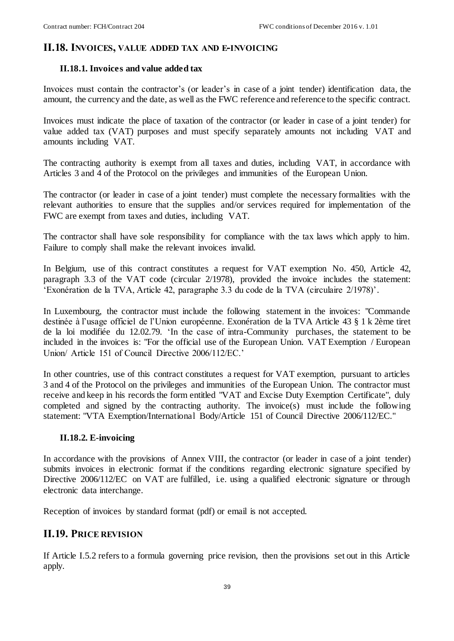### <span id="page-38-0"></span>**II.18. INVOICES, VALUE ADDED TAX AND E-INVOICING**

#### **II.18.1. Invoices and value added tax**

Invoices must contain the contractor's (or leader's in case of a joint tender) identification data, the amount, the currency and the date, as well as the FWC reference and reference to the specific contract.

Invoices must indicate the place of taxation of the contractor (or leader in case of a joint tender) for value added tax (VAT) purposes and must specify separately amounts not including VAT and amounts including VAT.

The contracting authority is exempt from all taxes and duties, including VAT, in accordance with Articles 3 and 4 of the Protocol on the privileges and immunities of the European Union.

The contractor (or leader in case of a joint tender) must complete the necessary formalities with the relevant authorities to ensure that the supplies and/or services required for implementation of the FWC are exempt from taxes and duties, including VAT.

The contractor shall have sole responsibility for compliance with the tax laws which apply to him. Failure to comply shall make the relevant invoices invalid.

In Belgium, use of this contract constitutes a request for VAT exemption No. 450, Article 42, paragraph 3.3 of the VAT code (circular 2/1978), provided the invoice includes the statement: 'Exonération de la TVA, Article 42, paragraphe 3.3 du code de la TVA (circulaire 2/1978)'.

In Luxembourg, the contractor must include the following statement in the invoices: "Commande destinée à l'usage officiel de l'Union européenne. Exonération de la TVA Article 43 § 1 k 2ème tiret de la loi modifiée du 12.02.79. 'In the case of intra-Community purchases, the statement to be included in the invoices is: "For the official use of the European Union. VAT Exemption / European Union/ Article 151 of Council Directive 2006/112/EC.'

In other countries, use of this contract constitutes a request for VAT exemption, pursuant to articles 3 and 4 of the Protocol on the privileges and immunities of the European Union. The contractor must receive and keep in his records the form entitled "VAT and Excise Duty Exemption Certificate", duly completed and signed by the contracting authority. The invoice $(s)$  must include the following statement: "VTA Exemption/International Body/Article 151 of Council Directive 2006/112/EC."

### **II.18.2. E-invoicing**

In accordance with the provisions of Annex VIII, the contractor (or leader in case of a joint tender) submits invoices in electronic format if the conditions regarding electronic signature specified by Directive 2006/112/EC on VAT are fulfilled, i.e. using a qualified electronic signature or through electronic data interchange.

Reception of invoices by standard format (pdf) or email is not accepted.

# <span id="page-38-1"></span>**II.19. PRICE REVISION**

If Article [I.5.2](#page-10-1) refers to a formula governing price revision, then the provisions set out in this Article apply.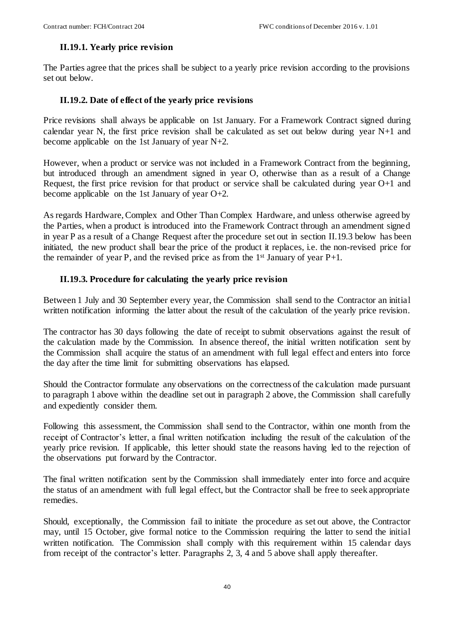## **II.19.1. Yearly price revision**

The Parties agree that the prices shall be subject to a yearly price revision according to the provisions set out below.

## **II.19.2. Date of effect of the yearly price revisions**

Price revisions shall always be applicable on 1st January. For a Framework Contract signed during calendar year N, the first price revision shall be calculated as set out below during year N+1 and become applicable on the 1st January of year N+2.

However, when a product or service was not included in a Framework Contract from the beginning, but introduced through an amendment signed in year O, otherwise than as a result of a Change Request, the first price revision for that product or service shall be calculated during year O+1 and become applicable on the 1st January of year O+2.

As regards Hardware, Complex and Other Than Complex Hardware, and unless otherwise agreed by the Parties, when a product is introduced into the Framework Contract through an amendment signed in year P as a result of a Change Request after the procedure set out in section [II.19.3 below](#page-39-0) has been initiated, the new product shall bear the price of the product it replaces, i.e. the non-revised price for the remainder of year P, and the revised price as from the  $1<sup>st</sup>$  January of year P+1.

## <span id="page-39-0"></span>**II.19.3. Procedure for calculating the yearly price revision**

Between 1 July and 30 September every year, the Commission shall send to the Contractor an initial written notification informing the latter about the result of the calculation of the yearly price revision.

The contractor has 30 days following the date of receipt to submit observations against the result of the calculation made by the Commission. In absence thereof, the initial written notification sent by the Commission shall acquire the status of an amendment with full legal effect and enters into force the day after the time limit for submitting observations has elapsed.

Should the Contractor formulate any observations on the correctness of the calculation made pursuant to paragraph 1 above within the deadline set out in paragraph 2 above, the Commission shall carefully and expediently consider them.

Following this assessment, the Commission shall send to the Contractor, within one month from the receipt of Contractor's letter, a final written notification including the result of the calculation of the yearly price revision. If applicable, this letter should state the reasons having led to the rejection of the observations put forward by the Contractor.

The final written notification sent by the Commission shall immediately enter into force and acquire the status of an amendment with full legal effect, but the Contractor shall be free to seek appropriate remedies.

Should, exceptionally, the Commission fail to initiate the procedure as set out above, the Contractor may, until 15 October, give formal notice to the Commission requiring the latter to send the initial written notification. The Commission shall comply with this requirement within 15 calendar days from receipt of the contractor's letter. Paragraphs 2, 3, 4 and 5 above shall apply thereafter.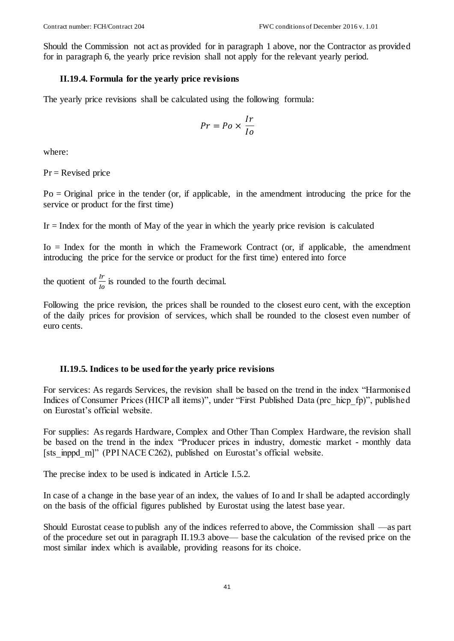Should the Commission not act as provided for in paragraph 1 above, nor the Contractor as provided for in paragraph 6, the yearly price revision shall not apply for the relevant yearly period.

#### **II.19.4. Formula for the yearly price revisions**

The yearly price revisions shall be calculated using the following formula:

$$
Pr = Po \times \frac{Ir}{Io}
$$

where:

 $Pr =$  Revised price

Po = Original price in the tender (or, if applicable, in the amendment introducing the price for the service or product for the first time)

Ir  $=$  Index for the month of May of the year in which the yearly price revision is calculated

 $Io = Index$  for the month in which the Framework Contract (or, if applicable, the amendment introducing the price for the service or product for the first time) entered into force

the quotient of  $\frac{lr}{lo}$  is rounded to the fourth decimal.

Following the price revision, the prices shall be rounded to the closest euro cent, with the exception of the daily prices for provision of services, which shall be rounded to the closest even number of euro cents.

#### **II.19.5. Indices to be used for the yearly price revisions**

For services: As regards Services, the revision shall be based on the trend in the index "Harmonised Indices of Consumer Prices (HICP all items)", under "First Published Data (prc\_hicp\_fp)", published on Eurostat's official website.

For supplies: As regards Hardware, Complex and Other Than Complex Hardware, the revision shall be based on the trend in the index "Producer prices in industry, domestic market - monthly data [sts\_inppd\_m]" (PPI NACE C262), published on Eurostat's official website.

The precise index to be used is indicated in Article [I.5.2.](#page-10-1)

In case of a change in the base year of an index, the values of Io and Ir shall be adapted accordingly on the basis of the official figures published by Eurostat using the latest base year.

Should Eurostat cease to publish any of the indices referred to above, the Commission shall —as part of the procedure set out in paragraph [II.19.3 above—](#page-39-0) base the calculation of the revised price on the most similar index which is available, providing reasons for its choice.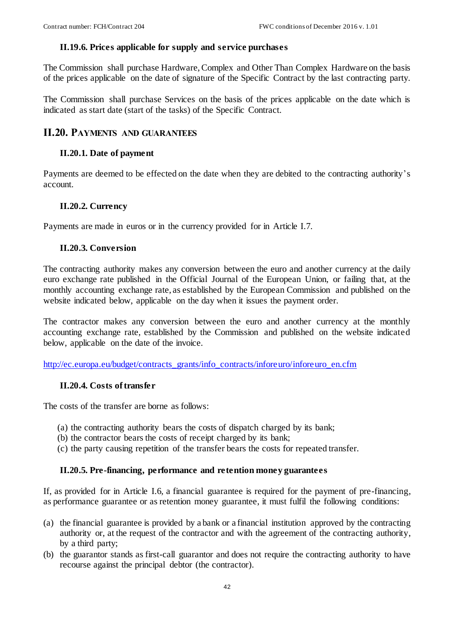#### **II.19.6. Prices applicable for supply and service purchases**

The Commission shall purchase Hardware, Complex and Other Than Complex Hardware on the basis of the prices applicable on the date of signature of the Specific Contract by the last contracting party.

The Commission shall purchase Services on the basis of the prices applicable on the date which is indicated as start date (start of the tasks) of the Specific Contract.

## <span id="page-41-0"></span>**II.20. PAYMENTS AND GUARANTEES**

#### <span id="page-41-1"></span>**II.20.1. Date of payment**

Payments are deemed to be effected on the date when they are debited to the contracting authority's account.

#### **II.20.2. Currency**

Payments are made in euros or in the currency provided for in Article [I.7.](#page-11-0)

#### **II.20.3. Conversion**

The contracting authority makes any conversion between the euro and another currency at the daily euro exchange rate published in the Official Journal of the European Union, or failing that, at the monthly accounting exchange rate, as established by the European Commission and published on the website indicated below, applicable on the day when it issues the payment order.

The contractor makes any conversion between the euro and another currency at the monthly accounting exchange rate, established by the Commission and published on the website indicated below, applicable on the date of the invoice.

[http://ec.europa.eu/budget/contracts\\_grants/info\\_contracts/inforeuro/inforeuro\\_en.cfm](http://ec.europa.eu/budget/contracts_grants/info_contracts/inforeuro/inforeuro_en.cfm)

#### **II.20.4. Costs of transfer**

The costs of the transfer are borne as follows:

- (a) the contracting authority bears the costs of dispatch charged by its bank;
- (b) the contractor bears the costs of receipt charged by its bank;
- (c) the party causing repetition of the transfer bears the costs for repeated transfer.

#### **II.20.5. Pre-financing, performance and retention money guarantees**

If, as provided for in Article [I.6](#page-10-0)*,* a financial guarantee is required for the payment of pre-financing, as performance guarantee or as retention money guarantee, it must fulfil the following conditions:

- (a) the financial guarantee is provided by a bank or a financial institution approved by the contracting authority or, at the request of the contractor and with the agreement of the contracting authority, by a third party;
- (b) the guarantor stands as first-call guarantor and does not require the contracting authority to have recourse against the principal debtor (the contractor).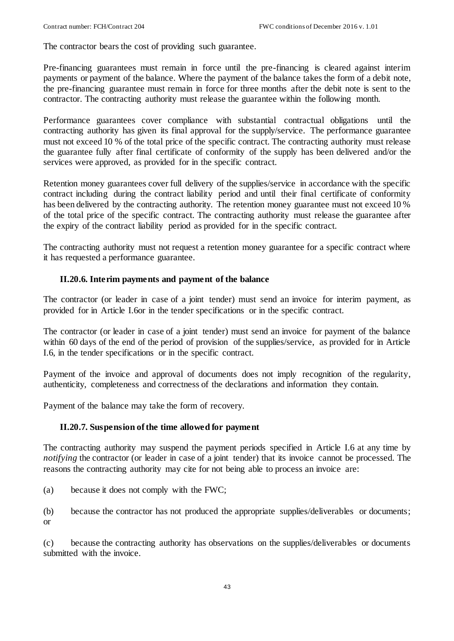The contractor bears the cost of providing such guarantee.

Pre-financing guarantees must remain in force until the pre-financing is cleared against interim payments or payment of the balance. Where the payment of the balance takes the form of a debit note, the pre-financing guarantee must remain in force for three months after the debit note is sent to the contractor. The contracting authority must release the guarantee within the following month.

Performance guarantees cover compliance with substantial contractual obligations until the contracting authority has given its final approval for the supply/service. The performance guarantee must not exceed 10 % of the total price of the specific contract. The contracting authority must release the guarantee fully after final certificate of conformity of the supply has been delivered and/or the services were approved, as provided for in the specific contract.

Retention money guarantees cover full delivery of the supplies/service in accordance with the specific contract including during the contract liability period and until their final certificate of conformity has been delivered by the contracting authority. The retention money guarantee must not exceed 10 % of the total price of the specific contract. The contracting authority must release the guarantee after the expiry of the contract liability period as provided for in the specific contract.

The contracting authority must not request a retention money guarantee for a specific contract where it has requested a performance guarantee.

### <span id="page-42-0"></span>**II.20.6. Interim payments and payment of the balance**

The contractor (or leader in case of a joint tender) must send an invoice for interim payment, as provided for in Article [I.6o](#page-10-0)r in the tender specifications or in the specific contract.

The contractor (or leader in case of a joint tender) must send an invoice for payment of the balance within 60 days of the end of the period of provision of the supplies/service, as provided for in Article [I.6,](#page-10-0) in the tender specifications or in the specific contract.

Payment of the invoice and approval of documents does not imply recognition of the regularity, authenticity, completeness and correctness of the declarations and information they contain.

Payment of the balance may take the form of recovery.

### <span id="page-42-1"></span>**II.20.7. Suspension of the time allowed for payment**

The contracting authority may suspend the payment periods specified in Article [I.6](#page-10-0) at any time by *notifying* the contractor (or leader in case of a joint tender) that its invoice cannot be processed. The reasons the contracting authority may cite for not being able to process an invoice are:

(a) because it does not comply with the FWC;

(b) because the contractor has not produced the appropriate supplies/deliverables or documents; or

(c) because the contracting authority has observations on the supplies/deliverables or documents submitted with the invoice.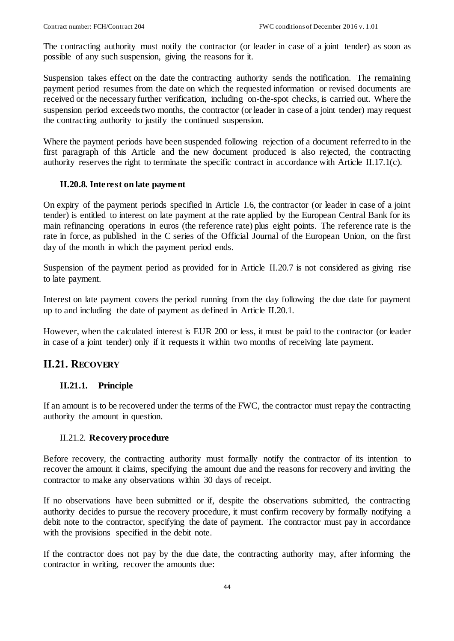The contracting authority must notify the contractor (or leader in case of a joint tender) as soon as possible of any such suspension, giving the reasons for it.

Suspension takes effect on the date the contracting authority sends the notification. The remaining payment period resumes from the date on which the requested information or revised documents are received or the necessary further verification, including on-the-spot checks, is carried out. Where the suspension period exceeds two months, the contractor (or leader in case of a joint tender) may request the contracting authority to justify the continued suspension.

Where the payment periods have been suspended following rejection of a document referred to in the first paragraph of this Article and the new document produced is also rejected, the contracting authority reserves the right to terminate the specific contract in accordance with Article [II.17.1\(](#page-35-1)c)*.*

### <span id="page-43-1"></span>**II.20.8. Interest on late payment**

On expiry of the payment periods specified in Article I.6, the contractor (or leader in case of a joint tender) is entitled to interest on late payment at the rate applied by the European Central Bank for its main refinancing operations in euros (the reference rate) plus eight points. The reference rate is the rate in force, as published in the C series of the Official Journal of the European Union, on the first day of the month in which the payment period ends.

Suspension of the payment period as provided for in Article [II.20.7](#page-42-1) is not considered as giving rise to late payment.

Interest on late payment covers the period running from the day following the due date for payment up to and including the date of payment as defined in Article [II.20.1.](#page-41-1)

However, when the calculated interest is EUR 200 or less, it must be paid to the contractor (or leader in case of a joint tender) only if it requests it within two months of receiving late payment.

## <span id="page-43-0"></span>**II.21. RECOVERY**

### **II.21.1. Principle**

If an amount is to be recovered under the terms of the FWC, the contractor must repay the contracting authority the amount in question.

#### <span id="page-43-2"></span>II.21.2. **Recovery procedure**

Before recovery, the contracting authority must formally notify the contractor of its intention to recover the amount it claims, specifying the amount due and the reasons for recovery and inviting the contractor to make any observations within 30 days of receipt.

If no observations have been submitted or if, despite the observations submitted, the contracting authority decides to pursue the recovery procedure, it must confirm recovery by formally notifying a debit note to the contractor, specifying the date of payment. The contractor must pay in accordance with the provisions specified in the debit note.

If the contractor does not pay by the due date, the contracting authority may, after informing the contractor in writing, recover the amounts due: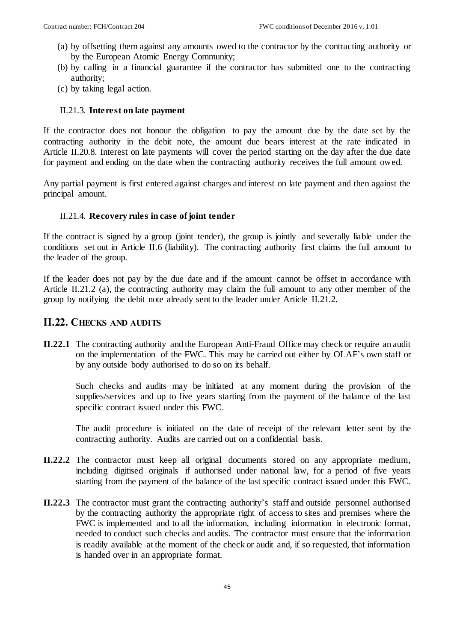- (a) by offsetting them against any amounts owed to the contractor by the contracting authority or by the European Atomic Energy Community;
- (b) by calling in a financial guarantee if the contractor has submitted one to the contracting authority;
- (c) by taking legal action.

#### II.21.3. **Interest on late payment**

If the contractor does not honour the obligation to pay the amount due by the date set by the contracting authority in the debit note, the amount due bears interest at the rate indicated in Article [II.20.8.](#page-43-1) Interest on late payments will cover the period starting on the day after the due date for payment and ending on the date when the contracting authority receives the full amount owed.

Any partial payment is first entered against charges and interest on late payment and then against the principal amount.

#### II.21.4. **Recovery rules in case of joint tender**

If the contract is signed by a group (joint tender), the group is jointly and severally liable under the conditions set out in Article [II.6](#page-29-0) (liability). The contracting authority first claims the full amount to the leader of the group.

If the leader does not pay by the due date and if the amount cannot be offset in accordance with Article [II.21.2](#page-43-2) (a), the contracting authority may claim the full amount to any other member of the group by notifying the debit note already sent to the leader under Article [II.21.2.](#page-43-2)

#### <span id="page-44-0"></span>**II.22. CHECKS AND AUDITS**

**II.22.1** The contracting authority and the European Anti-Fraud Office may check or require an audit on the implementation of the FWC. This may be carried out either by OLAF's own staff or by any outside body authorised to do so on its behalf.

Such checks and audits may be initiated at any moment during the provision of the supplies/services and up to five years starting from the payment of the balance of the last specific contract issued under this FWC.

The audit procedure is initiated on the date of receipt of the relevant letter sent by the contracting authority. Audits are carried out on a confidential basis.

- **II.22.2** The contractor must keep all original documents stored on any appropriate medium, including digitised originals if authorised under national law, for a period of five years starting from the payment of the balance of the last specific contract issued under this FWC.
- **II.22.3** The contractor must grant the contracting authority's staff and outside personnel authorised by the contracting authority the appropriate right of access to sites and premises where the FWC is implemented and to all the information, including information in electronic format, needed to conduct such checks and audits. The contractor must ensure that the information is readily available at the moment of the check or audit and, if so requested, that information is handed over in an appropriate format.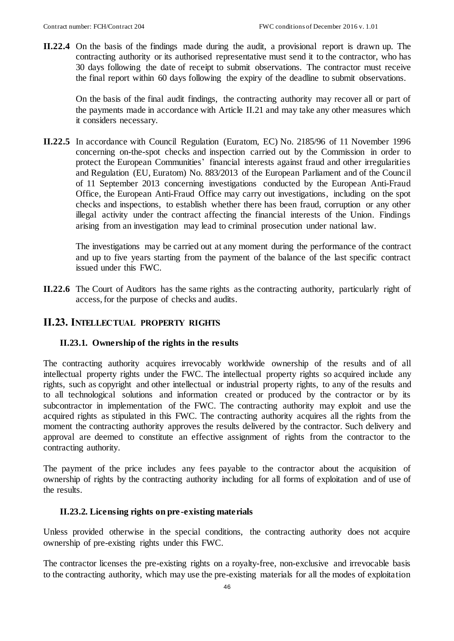**II.22.4** On the basis of the findings made during the audit, a provisional report is drawn up. The contracting authority or its authorised representative must send it to the contractor, who has 30 days following the date of receipt to submit observations. The contractor must receive the final report within 60 days following the expiry of the deadline to submit observations.

On the basis of the final audit findings, the contracting authority may recover all or part of the payments made in accordance with Article [II.21](#page-43-0) and may take any other measures which it considers necessary.

**II.22.5** In accordance with Council Regulation (Euratom, EC) No. 2185/96 of 11 November 1996 concerning on-the-spot checks and inspection carried out by the Commission in order to protect the European Communities' financial interests against fraud and other irregularities and Regulation (EU, Euratom) No. 883/2013 of the European Parliament and of the Council of 11 September 2013 concerning investigations conducted by the European Anti-Fraud Office, the European Anti-Fraud Office may carry out investigations, including on the spot checks and inspections, to establish whether there has been fraud, corruption or any other illegal activity under the contract affecting the financial interests of the Union. Findings arising from an investigation may lead to criminal prosecution under national law.

The investigations may be carried out at any moment during the performance of the contract and up to five years starting from the payment of the balance of the last specific contract issued under this FWC.

**II.22.6** The Court of Auditors has the same rights as the contracting authority, particularly right of access, for the purpose of checks and audits.

### <span id="page-45-0"></span>**II.23. INTELLECTUAL PROPERTY RIGHTS**

#### <span id="page-45-1"></span>**II.23.1. Ownership of the rights in the results**

The contracting authority acquires irrevocably worldwide ownership of the results and of all intellectual property rights under the FWC. The intellectual property rights so acquired include any rights, such as copyright and other intellectual or industrial property rights, to any of the results and to all technological solutions and information created or produced by the contractor or by its subcontractor in implementation of the FWC. The contracting authority may exploit and use the acquired rights as stipulated in this FWC. The contracting authority acquires all the rights from the moment the contracting authority approves the results delivered by the contractor. Such delivery and approval are deemed to constitute an effective assignment of rights from the contractor to the contracting authority.

The payment of the price includes any fees payable to the contractor about the acquisition of ownership of rights by the contracting authority including for all forms of exploitation and of use of the results.

#### <span id="page-45-2"></span>**II.23.2. Licensing rights on pre -existing materials**

Unless provided otherwise in the special conditions, the contracting authority does not acquire ownership of pre-existing rights under this FWC.

The contractor licenses the pre-existing rights on a royalty-free, non-exclusive and irrevocable basis to the contracting authority, which may use the pre-existing materials for all the modes of exploitation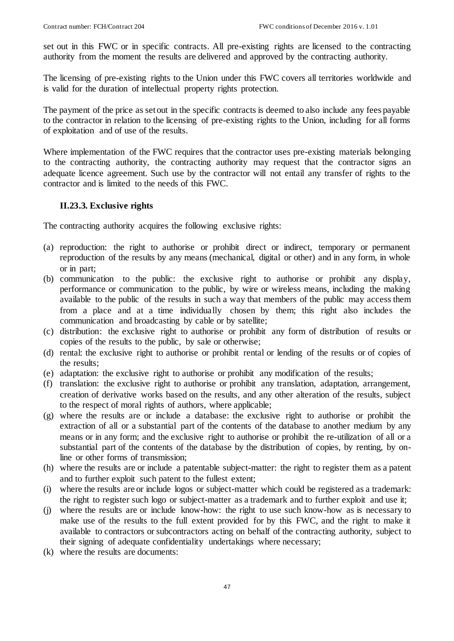set out in this FWC or in specific contracts. All pre-existing rights are licensed to the contracting authority from the moment the results are delivered and approved by the contracting authority.

The licensing of pre-existing rights to the Union under this FWC covers all territories worldwide and is valid for the duration of intellectual property rights protection.

The payment of the price as set out in the specific contracts is deemed to also include any fees payable to the contractor in relation to the licensing of pre-existing rights to the Union, including for all forms of exploitation and of use of the results.

Where implementation of the FWC requires that the contractor uses pre-existing materials belonging to the contracting authority, the contracting authority may request that the contractor signs an adequate licence agreement. Such use by the contractor will not entail any transfer of rights to the contractor and is limited to the needs of this FWC.

## **II.23.3. Exclusive rights**

The contracting authority acquires the following exclusive rights:

- (a) reproduction: the right to authorise or prohibit direct or indirect, temporary or permanent reproduction of the results by any means (mechanical, digital or other) and in any form, in whole or in part;
- (b) communication to the public: the exclusive right to authorise or prohibit any display, performance or communication to the public, by wire or wireless means, including the making available to the public of the results in such a way that members of the public may access them from a place and at a time individually chosen by them; this right also includes the communication and broadcasting by cable or by satellite;
- (c) distribution: the exclusive right to authorise or prohibit any form of distribution of results or copies of the results to the public, by sale or otherwise;
- (d) rental: the exclusive right to authorise or prohibit rental or lending of the results or of copies of the results;
- (e) adaptation: the exclusive right to authorise or prohibit any modification of the results;
- (f) translation: the exclusive right to authorise or prohibit any translation, adaptation, arrangement, creation of derivative works based on the results, and any other alteration of the results, subject to the respect of moral rights of authors, where applicable;
- (g) where the results are or include a database: the exclusive right to authorise or prohibit the extraction of all or a substantial part of the contents of the database to another medium by any means or in any form; and the exclusive right to authorise or prohibit the re-utilization of all or a substantial part of the contents of the database by the distribution of copies, by renting, by online or other forms of transmission;
- (h) where the results are or include a patentable subject-matter: the right to register them as a patent and to further exploit such patent to the fullest extent;
- (i) where the results are or include logos or subject-matter which could be registered as a trademark: the right to register such logo or subject-matter as a trademark and to further exploit and use it;
- (j) where the results are or include know-how: the right to use such know-how as is necessary to make use of the results to the full extent provided for by this FWC, and the right to make it available to contractors or subcontractors acting on behalf of the contracting authority, subject to their signing of adequate confidentiality undertakings where necessary;
- (k) where the results are documents: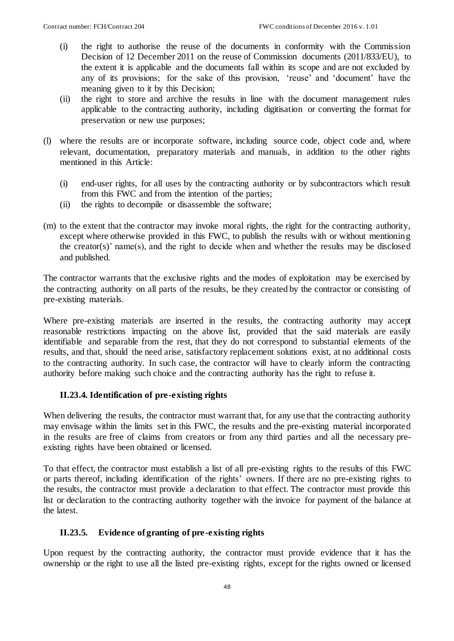- (i) the right to authorise the reuse of the documents in conformity with the Commission Decision of 12 December 2011 on the reuse of Commission documents (2011/833/EU), to the extent it is applicable and the documents fall within its scope and are not excluded by any of its provisions; for the sake of this provision, 'reuse' and 'document' have the meaning given to it by this Decision;
- (ii) the right to store and archive the results in line with the document management rules applicable to the contracting authority, including digitisation or converting the format for preservation or new use purposes;
- (l) where the results are or incorporate software, including source code, object code and, where relevant, documentation, preparatory materials and manuals, in addition to the other rights mentioned in this Article:
	- (i) end-user rights, for all uses by the contracting authority or by subcontractors which result from this FWC and from the intention of the parties;
	- (ii) the rights to decompile or disassemble the software;
- (m) to the extent that the contractor may invoke moral rights, the right for the contracting authority, except where otherwise provided in this FWC, to publish the results with or without mentioning the creator(s)' name(s), and the right to decide when and whether the results may be disclosed and published.

The contractor warrants that the exclusive rights and the modes of exploitation may be exercised by the contracting authority on all parts of the results, be they created by the contractor or consisting of pre-existing materials.

Where pre-existing materials are inserted in the results, the contracting authority may accept reasonable restrictions impacting on the above list, provided that the said materials are easily identifiable and separable from the rest, that they do not correspond to substantial elements of the results, and that, should the need arise, satisfactory replacement solutions exist, at no additional costs to the contracting authority. In such case, the contractor will have to clearly inform the contracting authority before making such choice and the contracting authority has the right to refuse it.

### <span id="page-47-0"></span>**II.23.4. Identification of pre-existing rights**

When delivering the results, the contractor must warrant that, for any use that the contracting authority may envisage within the limits set in this FWC, the results and the pre-existing material incorporated in the results are free of claims from creators or from any third parties and all the necessary preexisting rights have been obtained or licensed.

To that effect, the contractor must establish a list of all pre-existing rights to the results of this FWC or parts thereof, including identification of the rights' owners. If there are no pre-existing rights to the results, the contractor must provide a declaration to that effect. The contractor must provide this list or declaration to the contracting authority together with the invoice for payment of the balance at the latest.

### **II.23.5. Evidence of granting of pre-existing rights**

Upon request by the contracting authority, the contractor must provide evidence that it has the ownership or the right to use all the listed pre-existing rights, except for the rights owned or licensed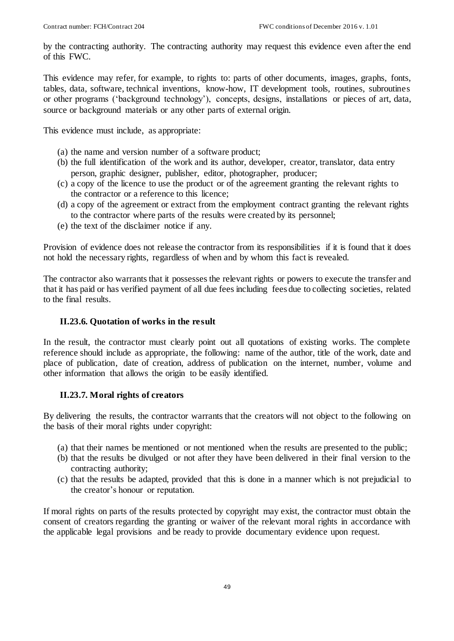by the contracting authority. The contracting authority may request this evidence even after the end of this FWC.

This evidence may refer, for example, to rights to: parts of other documents, images, graphs, fonts, tables, data, software, technical inventions, know-how, IT development tools, routines, subroutines or other programs ('background technology'), concepts, designs, installations or pieces of art, data, source or background materials or any other parts of external origin.

This evidence must include, as appropriate:

- (a) the name and version number of a software product;
- (b) the full identification of the work and its author, developer, creator, translator, data entry person, graphic designer, publisher, editor, photographer, producer;
- (c) a copy of the licence to use the product or of the agreement granting the relevant rights to the contractor or a reference to this licence;
- (d) a copy of the agreement or extract from the employment contract granting the relevant rights to the contractor where parts of the results were created by its personnel;
- (e) the text of the disclaimer notice if any.

Provision of evidence does not release the contractor from its responsibilities if it is found that it does not hold the necessary rights, regardless of when and by whom this fact is revealed.

The contractor also warrants that it possesses the relevant rights or powers to execute the transfer and that it has paid or has verified payment of all due fees including fees due to collecting societies, related to the final results.

#### **II.23.6. Quotation of works in the result**

In the result, the contractor must clearly point out all quotations of existing works. The complete reference should include as appropriate, the following: name of the author, title of the work, date and place of publication, date of creation, address of publication on the internet, number, volume and other information that allows the origin to be easily identified.

### **II.23.7. Moral rights of creators**

By delivering the results, the contractor warrants that the creators will not object to the following on the basis of their moral rights under copyright:

- (a) that their names be mentioned or not mentioned when the results are presented to the public;
- (b) that the results be divulged or not after they have been delivered in their final version to the contracting authority;
- (c) that the results be adapted, provided that this is done in a manner which is not prejudicial to the creator's honour or reputation.

If moral rights on parts of the results protected by copyright may exist, the contractor must obtain the consent of creators regarding the granting or waiver of the relevant moral rights in accordance with the applicable legal provisions and be ready to provide documentary evidence upon request.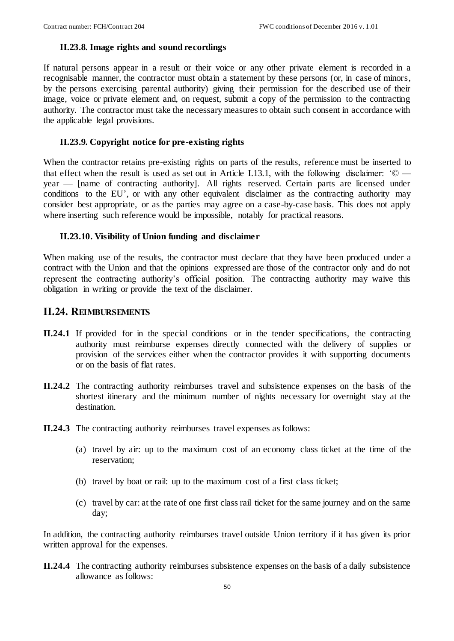#### **II.23.8. Image rights and sound recordings**

If natural persons appear in a result or their voice or any other private element is recorded in a recognisable manner, the contractor must obtain a statement by these persons (or, in case of minors, by the persons exercising parental authority) giving their permission for the described use of their image, voice or private element and, on request, submit a copy of the permission to the contracting authority. The contractor must take the necessary measures to obtain such consent in accordance with the applicable legal provisions.

#### **II.23.9. Copyright notice for pre-existing rights**

When the contractor retains pre-existing rights on parts of the results, reference must be inserted to that effect when the result is used as set out in Article [I.13.1,](#page-13-3) with the following disclaimer:  $\degree$   $\degree$  year — [name of contracting authority]. All rights reserved. Certain parts are licensed under conditions to the EU', or with any other equivalent disclaimer as the contracting authority may consider best appropriate, or as the parties may agree on a case-by-case basis. This does not apply where inserting such reference would be impossible, notably for practical reasons.

#### **II.23.10. Visibility of Union funding and disclaimer**

When making use of the results, the contractor must declare that they have been produced under a contract with the Union and that the opinions expressed are those of the contractor only and do not represent the contracting authority's official position. The contracting authority may waive this obligation in writing or provide the text of the disclaimer.

#### <span id="page-49-0"></span>**II.24. REIMBURSEMENTS**

- **II.24.1** If provided for in the special conditions or in the tender specifications, the contracting authority must reimburse expenses directly connected with the delivery of supplies or provision of the services either when the contractor provides it with supporting documents or on the basis of flat rates.
- **II.24.2** The contracting authority reimburses travel and subsistence expenses on the basis of the shortest itinerary and the minimum number of nights necessary for overnight stay at the destination.
- **II.24.3** The contracting authority reimburses travel expenses as follows:
	- (a) travel by air: up to the maximum cost of an economy class ticket at the time of the reservation;
	- (b) travel by boat or rail: up to the maximum cost of a first class ticket;
	- (c) travel by car: at the rate of one first class rail ticket for the same journey and on the same day;

In addition, the contracting authority reimburses travel outside Union territory if it has given its prior written approval for the expenses.

**II.24.4** The contracting authority reimburses subsistence expenses on the basis of a daily subsistence allowance as follows: